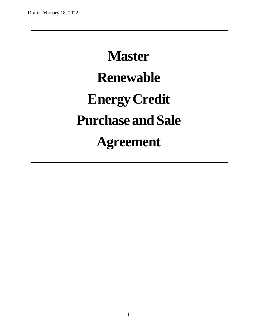# **Master Renewable EnergyCredit Purchase and Sale Agreement**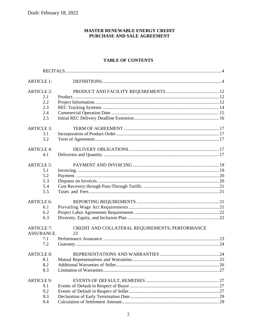#### MASTER RENEWABLE ENERGY CREDIT PURCHASE AND SALE AGREEMENT

## **TABLE OF CONTENTS**

| <b>ARTICLE 1:</b> |                                                 |  |
|-------------------|-------------------------------------------------|--|
| <b>ARTICLE 2:</b> |                                                 |  |
| 2.1               |                                                 |  |
| 2.2               |                                                 |  |
| 2.3               |                                                 |  |
| 2.4               |                                                 |  |
| 2.5               |                                                 |  |
| <b>ARTICLE 3:</b> |                                                 |  |
| 3.1               |                                                 |  |
| 3.2               |                                                 |  |
| <b>ARTICLE 4:</b> |                                                 |  |
| 4.1               |                                                 |  |
| <b>ARTICLE 5:</b> |                                                 |  |
| 5.1               |                                                 |  |
| 5.2               |                                                 |  |
| 5.3               |                                                 |  |
| 5.4               |                                                 |  |
| 5.5               |                                                 |  |
| <b>ARTICLE 6:</b> |                                                 |  |
| 6.1               |                                                 |  |
| 6.2               |                                                 |  |
| 6.3               |                                                 |  |
| <b>ARTICLE 7:</b> | CREDIT AND COLLATERAL REQUIREMENTS; PERFORMANCE |  |
| <b>ASSURANCE</b>  | 23                                              |  |
| 7.1               |                                                 |  |
| 7.2               |                                                 |  |
| <b>ARTICLE 8:</b> |                                                 |  |
| 8.1               |                                                 |  |
| 8.2               |                                                 |  |
| 8.3               |                                                 |  |
| <b>ARTICLE 9:</b> |                                                 |  |
| 9.1               |                                                 |  |
| 9.2               |                                                 |  |
| 9.3               |                                                 |  |
| 9.4               |                                                 |  |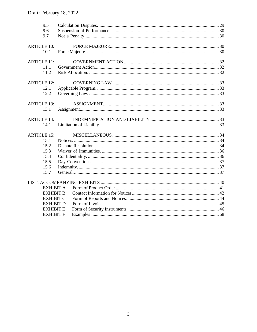| 9.5<br>9.6<br>9.7                  |  |
|------------------------------------|--|
| <b>ARTICLE 10:</b><br>10.1         |  |
| <b>ARTICLE 11:</b><br>11.1<br>11.2 |  |
| <b>ARTICLE 12:</b><br>12.1<br>12.2 |  |
| <b>ARTICLE 13:</b><br>13.1         |  |
| <b>ARTICLE 14:</b><br>14.1         |  |
| <b>ARTICLE 15:</b>                 |  |
| 15.1                               |  |
| 15.2                               |  |
| 15.3                               |  |
| 15.4                               |  |
| 15.5                               |  |
| 15.6                               |  |
| 15.7                               |  |
|                                    |  |
| <b>EXHIBIT A</b>                   |  |
| <b>EXHIBIT B</b>                   |  |
| <b>EXHIBIT C</b>                   |  |
| <b>EXHIBIT D</b>                   |  |
| <b>EXHIBIT E</b>                   |  |
| <b>EXHIBIT F</b>                   |  |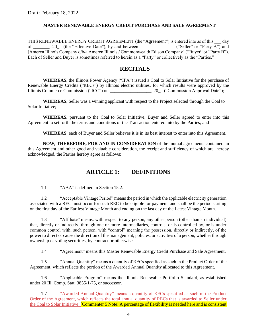#### **MASTER RENEWABLE ENERGY CREDIT PURCHASE AND SALE AGREEMENT**

THIS RENEWABLE ENERGY CREDIT AGREEMENT (the "Agreement") is entered into as of this  $\frac{1}{2}$  day of  $\frac{1}{2}$ . (the "Effective Date"), by and between ("Seller" or "Party A") and of \_\_\_\_\_\_\_, 20\_\_ (the "Effective Date"), by and between \_\_\_\_\_\_\_\_\_\_\_\_\_\_\_ ("Seller" or "Party A") and [Ameren Illinois Company d/b/a Ameren Illinois / Commonwealth Edison Company] ("Buyer" or "Party B"). Each of Seller and Buyer is sometimes referred to herein as a "Party" or collectively as the "Parties."

## **RECITALS**

<span id="page-3-0"></span>**WHEREAS**, the Illinois Power Agency ("IPA") issued a Coal to Solar Initiative for the purchase of Renewable Energy Credits ("RECs") by Illinois electric utilities, for which results were approved by the Illinois Commerce Commission ("ICC") on \_\_\_\_\_\_\_\_\_\_\_\_\_\_\_\_\_\_, 20\_\_ ("Commission Approval Date");

**WHEREAS**, Seller was a winning applicant with respect to the Project selected through the Coal to Solar Initiative;

**WHEREAS**, pursuant to the Coal to Solar Initiative, Buyer and Seller agreed to enter into this Agreement to set forth the terms and conditions of the Transaction entered into by the Parties; and

**WHEREAS**, each of Buyer and Seller believes it is in its best interest to enter into this Agreement.

**NOW, THEREFORE, FOR AND IN CONSIDERATION** of the mutual agreements contained in this Agreement and other good and valuable consideration, the receipt and sufficiency of which are hereby acknowledged, the Parties hereby agree as follows:

## **ARTICLE 1: DEFINITIONS**

<span id="page-3-1"></span>1.1 "AAA" is defined in Sectio[n 15.2.](#page-33-2)

1.2 "Acceptable Vintage Period" meansthe period in which the applicable electricity generation associated with a REC must occur for such REC to be eligible for payment, and shall be the period starting on the first day of the Earliest Vintage Month and ending on the last day of the Latest Vintage Month.

1.3 "Affiliate" means, with respect to any person, any other person (other than an individual) that, directly or indirectly, through one or more intermediaries, controls, or is controlled by, or is under common control with, such person, with "control" meaning the possession, directly or indirectly, of the power to direct or cause the direction of the management, policies, or activities of a person, whether through ownership or voting securities, by contract or otherwise.

1.4 "Agreement" means this Master Renewable Energy Credit Purchase and Sale Agreement.

1.5 "Annual Quantity" means a quantity of RECs specified as such in the Product Order of the Agreement, which reflects the portion of the Awarded Annual Quantity allocated to this Agreement.

1.6 "Applicable Program" means the Illinois Renewable Portfolio Standard, as established under 20 Ill. Comp. Stat. 3855/1-75, or successor.

1.7 "Awarded Annual Quantity" means a quantity of RECs specified as such in the Product Order of the Agreement, which reflects the total annual quantity of RECs that is awarded to Seller under the Coal to Solar Initiative. [Commenter 5 Note: A percentage of flexibility is needed here and is consistent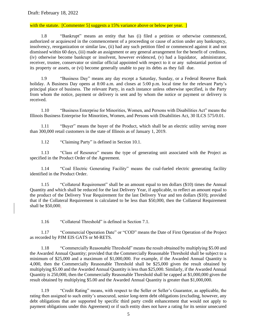#### with the statute. [Commenter 5] suggests a 15% variance above or below per year. ]

1.8 "Bankrupt" means an entity that has (i) filed a petition or otherwise commenced, authorized or acquiesced in the commencement of a proceeding or cause of action under any bankruptcy, insolvency, reorganization or similar law, (ii) had any such petition filed or commenced against it and not dismissed within 60 days, (iii) made an assignment or any general arrangement for the benefit of creditors, (iv) otherwise become bankrupt or insolvent, however evidenced, (v) had a liquidator, administrator, receiver, trustee, conservator or similar official appointed with respect to it or any substantial portion of its property or assets, or (vi) become generally unable to pay its debts as they fall due.

1.9 "Business Day" means any day except a Saturday, Sunday, or a Federal Reserve Bank holiday. A Business Day opens at 8:00 a.m. and closes at 5:00 p.m. local time for the relevant Party's principal place of business. The relevant Party, in each instance unless otherwise specified, is the Party from whom the notice, payment or delivery is sent and by whom the notice or payment or delivery is received.

1.10 "Business Enterprise for Minorities, Women, and Persons with Disabilities Act" means the Illinois Business Enterprise for Minorities, Women, and Persons with Disabilities Act, 30 ILCS 575/0.01.

1.11 "Buyer" means the buyer of the Product, which shall be an electric utility serving more than 300,000 retail customers in the state of Illinois as of January 1, 2019.

1.12 "Claiming Party" is defined in Section [10.1.](#page-29-3)

1.13 "Class of Resource" means the type of generating unit associated with the Project as specified in the Product Order of the Agreement.

1.14 "Coal Electric Generating Facility" means the coal-fueled electric generating facility identified in the Product Order.

1.15 "Collateral Requirement" shall be an amount equal to ten dollars (\$10) times the Annual Quantity and which shall be reduced for the last Delivery Year, if applicable, to reflect an amount equal to the product of the Delivery Year Requirement for the last Delivery Year and ten dollars (\$10); provided that if the Collateral Requirement is calculated to be less than \$50,000, then the Collateral Requirement shall be \$50,000.

1.16 "Collateral Threshold" is defined in Section [7.1.](#page-22-1)

1.17 "Commercial Operation Date" or "COD" means the Date of First Operation of the Project as recorded by PJM EIS GATS or M-RETS.

1.18 "Commercially Reasonable Threshold" means the result obtained by multiplying \$5.00 and the Awarded Annual Quantity; provided that the Commercially Reasonable Threshold shall be subject to a minimum of \$25,000 and a maximum of \$1,000,000. For example, if the Awarded Annual Quantity is 4,000, then the Commercially Reasonable Threshold shall be \$25,000 given the result obtained by multiplying \$5.00 and the Awarded Annual Quantity is less than \$25,000. Similarly, if the Awarded Annual Quantity is 250,000, then the Commercially Reasonable Threshold shall be capped at \$1,000,000 given the result obtained by multiplying \$5.00 and the Awarded Annual Quantity is greater than \$1,000,000.

1.19 "Credit Rating" means, with respect to the Seller or Seller's Guarantor, as applicable, the rating then assigned to such entity's unsecured, senior long-term debt obligations (excluding, however, any debt obligations that are supported by specific third party credit enhancement that would not apply to payment obligations under this Agreement) or if such entity does not have a rating for its senior unsecured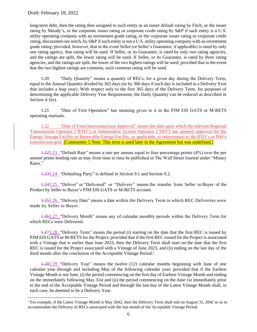long-term debt, then the rating then assigned to such entity as an issuer default rating by Fitch, or the issuer rating by Moody's, or the corporate issuer rating or corporate credit rating by S&P if such entity is a U.S. utility operating company with an investment grade rating, or the corporate issuer rating or corporate credit rating, discounted one notch, by S&P if such entity is not a U.S. utility operating company with an investment grade rating; provided, however, that in the event Seller (or Seller's Guarantor, if applicable) is rated by only one rating agency, that rating will be used. If Seller, or its Guarantor, is rated by only two rating agencies, and the ratings are split, the lower rating will be used. If Seller, or its Guarantor, is rated by three rating agencies, and the ratings are split, the lower of the two highest ratings will be used; provided that in the event that the two highest ratings are common, such common rating will be used.

1.20 "Daily Quantity" means a quantity of RECs, for a given day during the Delivery Term, equal to the Annual Quantity divided by 365 days (or by 366 days if such day is included in a Delivery Year that includes a leap year). With respect only to the first 365 days of the Delivery Term, for purposes of determining the applicable Delivery Year Requirement, the Daily Quantity can be reduced as described in Section [4.1\(e\).](#page-17-0)

1.21 "Date of First Operation" has meaning given to it in the PJM EIS GATS or M-RETS operating manuals.

1.22 "Date of Final Interconnection Approval" means the date upon which the relevant Regional Transmission Operator ("RTO") or Independent System Operator ("ISO") has granted approval for the Energy Storage Facility or Renewable Energy Facility, as applicable, to interconnect to the RTO's or ISO's transmission grid. **[Commenter 5 Note: This term is used later in the Agreement but was undefined.**]

1.221.23 "Default Rate" means a rate per annum equal to four percentage points (4%) over the per annum prime lending rate as may from time to time be published in The Wall Street Journal under "Money Rates."

1.231.24 "Defaulting Party" is defined in Section [9.1](#page-26-2) and Section [9.2.](#page-26-3)

1.241.25 "Deliver" or "Delivered" or "Delivery" means the transfer from Seller to Buyer of the Product by Seller to Buyer's PJM EIS GATS or M-RETS account.

1.251.26 "Delivery Date" means a date within the Delivery Term in which REC Deliveries were made by Seller to Buyer.

1.261.27 "Delivery Month" means any of calendar monthly periods within the Delivery Term for which RECs were Delivered.

1.271.28 "Delivery Term" means the period (i) starting on the date that the first REC is issued by PJM EIS GATS or M-RETS for the Project; provided that if the first REC issued for the Project is associated with a Vintage that is earlier than June 2023, then the Delivery Term shall start on the date that the first REC is issued for the Project associated with a Vintage of June 2023, and (ii) ending on the last day of the third month after the conclusion of the Acceptable Vintage Period.<sup>1</sup>

1.281.29 "Delivery Year" means the twelve (12) calendar months beginning with June of one calendar year through and including May of the following calendar year; provided that if the Earliest Vintage Month is not June, (i) the period commencing on the first day of Earliest Vintage Month and ending on the immediately following May 31st and (ii) the period commencing on the June 1st immediately prior to the end of the Acceptable Vintage Period and through the last day of the Latest Vintage Month shall, in each case, be deemed to be a Delivery Year.

<sup>1</sup> For example, if the Latest Vintage Month is May 2042, then the Delivery Term shall end on August 31, 2042 so as to accommodate the Delivery of RECs associated with the last month of the Acceptable Vintage Period.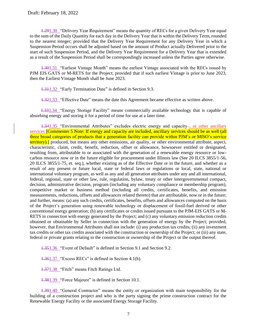1.291.30 "Delivery Year Requirement" means the quantity of RECs for a given Delivery Year equal to the sum of the Daily Quantity for each day in the Delivery Year that is within the Delivery Term, rounded to the nearest integer; provided that the Delivery Year Requirement for any Delivery Year in which a Suspension Period occurs shall be adjusted based on the amount of Product actually Delivered prior to the start of such Suspension Period, and the Delivery Year Requirement for a Delivery Year that is extended as a result of the Suspension Period shall be correspondingly increased unless the Parties agree otherwise.

1.301.31 "Earliest Vintage Month" means the earliest Vintage associated with the RECs issued by PJM EIS GATS or M-RETS for the Project; provided that if such earliest Vintage is prior to June 2023, then the Earliest Vintage Month shall be June 2023.

1.311.32 "Early Termination Date" is defined in Section [9.3.](#page-28-0)

1.321.33 "Effective Date" means the date this Agreement became effective as written above.

1.331.34 "Energy Storage Facility" means commercially available technology that is capable of absorbing energy and storing it for a period of time for use at a later time.

1.341.35 "Environmental Attributes" excludes electric energy and capacity-, or other ancillary services **[Commenter 5 Note: If energy and capacity are included, ancillary services should be as well (all**) three broad categories of products that a generation facility can provide within PJM's or MISO's service territory).] produced, but means any other emissions, air quality, or other environmental attribute, aspect, characteristic, claim, credit, benefit, reduction, offset or allowance, howsoever entitled or designated, resulting from, attributable to or associated with the generation of a renewable energy resource or lowcarbon resource now or in the future eligible for procurement under Illinois law (See 20 ILCS 3855/1-56, 20 ILCS 3855/1-75, et. seq.), whether existing as of the Effective Date or in the future, and whether as a result of any present or future local, state or federal laws or regulations or local, state, national or international voluntary program, as well as any and all generation attributes under any and all international, federal, regional, state or other law, rule, regulation, bylaw, treaty or other intergovernmental compact, decision, administrative decision, program (including any voluntary compliance or membership program), competitive market or business method (including all credits, certificates, benefits, and emission measurements, reductions, offsets and allowances related thereto) that are attributable, now or in the future; and further, means: (a) any such credits, certificates, benefits, offsets and allowances computed on the basis of the Project's generation using renewable technology or displacement of fossil-fuel derived or other conventional energy generation; (b) any certificates or credits issued pursuant to the PJM-EIS GATS or M-RETS in connection with energy generated by the Project; and (c) any voluntary emission reduction credits obtained or obtainable by Seller in connection with the generation of energy by the Project; provided, however, that Environmental Attributes shall not include: (i) any production tax credits; (ii) any investment tax credits or other tax credits associated with the construction or ownership of the Project; or (iii) any state, federal or private grants relating to the construction or ownership of the Project or the output thereof.

1.351.36 "Event of Default" is defined in Section [9.1](#page-26-2) and Section [9.2.](#page-26-3)

1.361.37 "Excess RECs" is defined in Section [4.1\(h\).](#page-18-2)

1.371.38 "Fitch" means Fitch Ratings Ltd.

1.381.39 "Force Majeure" is defined in Section [10.1.](#page-29-3)

1.391.40 "General Contractor" means the entity or organization with main responsibility for the building of a construction project and who is the party signing the prime construction contract for the Renewable Energy Facility or the associated Energy Storage Facility.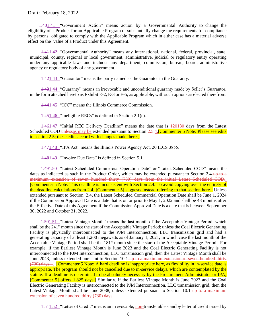1.401.41 "Government Action" means action by a Governmental Authority to change the eligibility of a Product for an Applicable Program or substantially change the requirements for compliance by persons obligated to comply with the Applicable Program which in either case has a material adverse effect on the value of a Product under this Agreement.

1.411.42 "Governmental Authority" means any international, national, federal, provincial, state, municipal, county, regional or local government, administrative, judicial or regulatory entity operating under any applicable laws and includes any department, commission, bureau, board, administrative agency or regulatory body of any government.

1.421.43 "Guarantor" means the party named as the Guarantor in the Guaranty.

1.431.44 "Guaranty" means an irrevocable and unconditional guaranty made by Seller's Guarantor, in the form attached hereto as Exhibit E-2, E-3 or E-5, as applicable, with such options as elected therefrom.

1.441.45 "ICC" means the Illinois Commerce Commission.

1.451.46 "Ineligible RECs" is defined in Section [2.1\(c\).](#page-11-3)

1.461.47 "Initial REC Delivery Deadline" means the date that is 120180 days from the Latest Scheduled COD unlessas may be extended pursuant to Section [2.5.](#page-15-0)4.<sup>[</sup>Commenter 5 Note: Please see edits to section 2.5; these edits accord with changes made there.

1.471.48 "IPA Act" means the Illinois Power Agency Act, 20 ILCS 3855.

1.481.49 "Invoice Due Date" is defined in Section [5.1.](#page-18-1)

1.491.50 "Latest Scheduled Commercial Operation Date" or "Latest Scheduled COD" means the dates as indicated as such in the Product Order, which may be extended pursuant to Section [2.4](#page-14-0) up to a maximum extension of seven hundred thirty (730) days from the initial Latest Scheduled COD. [Commenter 5 Note: This deadline is inconsistent with Section 2.4. To avoid copying over the entirety of the deadline calculations from 2.4, [Commenter 5] suggests instead referring to that section here.] Unless extended pursuant to Section [2.4,](#page-14-0) the Latest Scheduled Commercial Operation Date shall be June 1, 2024 if the Commission Approval Date is a date that is on or prior to May 1, 2022 and shall be 48 months after the Effective Date of this Agreement if the Commission Approval Date is a date that is between September 30, 2022 and October 31, 2022.

1.501.51 "Latest Vintage Month" means the last month of the Acceptable Vintage Period, which shall be the 241<sup>st</sup> month since the start of the Acceptable Vintage Period; unless the Coal Electric Generating Facility is physically interconnected to the PJM Interconnection, LLC transmission grid and had a generating capacity of at least 1,200 megawatts as of January 1, 2021, in which case the last month of the Acceptable Vintage Period shall be the 181<sup>st</sup> month since the start of the Acceptable Vintage Period. For example, if the Earliest Vintage Month is June 2023 and the Coal Electric Generating Facility is not interconnected to the PJM Interconnection, LLC transmission grid, then the Latest Vintage Month shall be June 2043, unless extended pursuant to Section [10.1](#page-29-3) up to a maximum extension of seven hundred thirty (730) days. . [Commenter 5 Note: A hard deadline is inappropriate here, as flexibility in in-service date is appropriate. The program should not be cancelled due to in-service delays, which are contemplated by the statute. If a deadline is determined to be absolutely necessary by the Procurement Administrator or IPA, [Commenter 5] offers 1,825 days.] Similarly, if the Earliest Vintage Month is June 2023 and the Coal Electric Generating Facility is interconnected to the PJM Interconnection, LLC transmission grid, then the Latest Vintage Month shall be June 2038, unless extended pursuant to Section [10.1](#page-29-3)-up to a maximum extension of seven hundred thirty (730) days..

1.511.52 "Letter of Credit" means an irrevocable, non-transferable standby letter of credit issued by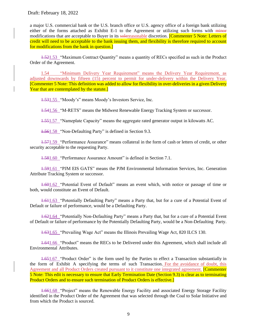a major U.S. commercial bank or the U.S. branch office or U.S. agency office of a foreign bank utilizing either of the forms attached as Exhibit E-1 to the Agreement or utilizing such forms with minor modifications that are acceptable to Buyer in its solereasonable discretion. **[Commenter 5 Note: Letters of** credit will need to be acceptable to the bank issuing them, and flexibility is therefore required to account for modifications from the bank in question.]

1.521.53 "Maximum Contract Quantity" means a quantity of RECs specified as such in the Product Order of the Agreement.

1.54 "Minimum Delivery Year Requirement" means the Delivery Year Requirement, as adjusted downwards by fifteen (15) percent to permit for under-delivery within the Delivery Year. [Commenter 5 Note: This definition was added to allow for flexibility in over-deliveries in a given Delivery Year that are contemplated by the statute.]

1.531.55 "Moody's" means Moody's Investors Service, Inc.

1.541.56 "M-RETS" means the Midwest Renewable Energy Tracking System or successor.

1.551.57 "Nameplate Capacity" means the aggregate rated generator output in kilowatts AC.

1.561.58 "Non-Defaulting Party" is defined in Section [9.3.](#page-28-0)

1.571.59 "Performance Assurance" means collateral in the form of cash or letters of credit, or other security acceptable to the requesting Party.

1.581.60 "Performance Assurance Amount" is defined in Section [7.1.](#page-22-1)

1.591.61 "PJM EIS GATS" means the PJM Environmental Information Services, Inc. Generation Attribute Tracking System or successor.

1.601.62 "Potential Event of Default" means an event which, with notice or passage of time or both, would constitute an Event of Default.

1.611.63 "Potentially Defaulting Party" means a Party that, but for a cure of a Potential Event of Default or failure of performance, would be a Defaulting Party.

1.621.64 "Potentially Non-Defaulting Party" means a Party that, but for a cure of a Potential Event of Default or failure of performance by the Potentially Defaulting Party, would be a Non-Defaulting Party.

1.631.65 "Prevailing Wage Act" means the Illinois Prevailing Wage Act, 820 ILCS 130.

1.641.66 "Product" means the RECs to be Delivered under this Agreement, which shall include all Environmental Attributes.

1.651.67 "Product Order" is the form used by the Parties to effect a Transaction substantially in the form of Exhibit A specifying the terms of such Transaction. For the avoidance of doubt, this Agreement and all Product Orders created pursuant to it constitute one integrated agreement. **[Commenter** 5 Note: This edit is necessary to ensure that Early Termination Date (Section 9.3) is clear as to terminating Product Orders and to ensure such termination of Product Orders is effective.]

1.661.68 "Project" means the Renewable Energy Facility and associated Energy Storage Facility identified in the Product Order of the Agreement that was selected through the Coal to Solar Initiative and from which the Product is sourced.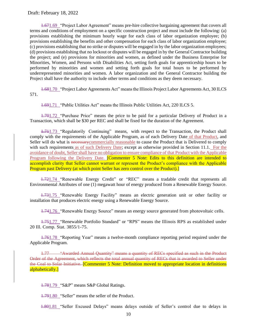1.671.69 "Project Labor Agreement" means pre-hire collective bargaining agreement that covers all terms and conditions of employment on a specific construction project and must include the following: (a) provisions establishing the minimum hourly wage for each class of labor organization employee; (b) provisions establishing the benefits and other compensation for each class of labor organization employee; (c) provisions establishing that no strike or disputes will be engaged in by the labor organization employees; (d) provisions establishing that no lockout or disputes will be engaged in by the General Contractor building the project; and (e) provisions for minorities and women, as defined under the Business Enterprise for Minorities, Women, and Persons with Disabilities Act, setting forth goals for apprenticeship hours to be performed by minorities and women and setting forth goals for total hours to be performed by underrepresented minorities and women. A labor organization and the General Contractor building the Project shall have the authority to include other terms and conditions as they deem necessary.

1.681.70 "Project Labor Agreements Act" means the Illinois Project Labor Agreements Act, 30 ILCS 571.

1.691.71 "Public Utilities Act" means the Illinois Public Utilities Act, 220 ILCS 5.

1.701.72 "Purchase Price" means the price to be paid for a particular Delivery of Product in a Transaction, which shall be \$30 per REC and shall be fixed for the duration of the Agreement.

1.711.73 "Regulatorily Continuing" means, with respect to the Transaction, the Product shall comply with the requirements of the Applicable Program, as of each Delivery Date of that Product, and Seller will do what is necessary commercially reasonable to cause the Product that is Delivered to comply with such requirements as of such Delivery Date; except as otherwise provided in Section [11.1.](#page-31-1) For the avoidance of doubt, Seller shall have no obligation to ensure compliance of that Product with the Applicable Program following the Delivery Date. **[Commenter 5 Note: Edits to this definition are intended to** accomplish clarity that Seller cannot warrant or represent the Product's compliance with the Applicable Program past Delivery (at which point Seller has zero control over the Product).

1.721.74 "Renewable Energy Credit" or "REC" means a tradable credit that represents all Environmental Attributes of one (1) megawatt hour of energy produced from a Renewable Energy Source.

1.731.75 "Renewable Energy Facility" means an electric generation unit or other facility or installation that produces electric energy using a Renewable Energy Source.

1.741.76 "Renewable Energy Source" means an energy source generated from photovoltaic cells.

1.751.77 "Renewable Portfolio Standard" or "RPS" means the Illinois RPS as established under 20 Ill. Comp. Stat. 3855/1-75.

1.761.78 "Reporting Year" means a twelve-month compliance reporting period required under the Applicable Program.

1.77 "Awarded Annual Quantity" means a quantity of RECs specified as such in the Product Order of the Agreement, which reflects the total annual quantity of RECs that is awarded to Seller under the Coal to Solar Initiative. [Commenter 5 Note: Definition moved to appropriate location in definitions alphabetically.]

1.781.79 "S&P" means S&P Global Ratings.

1.791.80 "Seller" means the seller of the Product.

1.801.81 "Seller Excused Delays" means delays outside of Seller's control due to delays in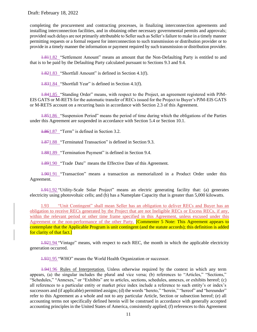completing the procurement and contracting processes, in finalizing interconnection agreements and installing interconnection facilities, and in obtaining other necessary governmental permits and approvals; provided such delays are not primarily attributable to Seller such as Seller's failure to make in a timely manner permitting requests or a formal request for interconnection to such transmission or distribution provider or to provide in a timely manner the information or payment required by such transmission or distribution provider.

1.811.82 "Settlement Amount" means an amount that the Non-Defaulting Party is entitled to and that is to be paid by the Defaulting Party calculated pursuant to Sections [9.3](#page-28-0) an[d 9.4.](#page-28-1)

1.821.83 "Shortfall Amount" is defined in Section [4.1\(f\).](#page-17-1)

1.831.84 "Shortfall Year" is defined in Section [4.1\(f\).](#page-17-1)

1.841.85 "Standing Order" means, with respect to the Project, an agreement registered with PJM-EIS GATS or M-RETS for the automatic transfer of RECs issued for the Project to Buyer's PJM-EIS GATS or M-RETS account on a recurring basis in accordance with Section [2.3](#page-13-0) of this Agreement.

1.851.86 "Suspension Period" means the period of time during which the obligations of the Parties under this Agreement are suspended in accordance with Section [5.4](#page-20-0) or Section [10.1.](#page-29-3)

1.861.87 "Term" is defined in Section [3.2.](#page-16-2)

1.871.88 "Terminated Transaction" is defined in Section [9.3.](#page-28-0)

1.881.89 "Termination Payment" is defined in Section [9.4.](#page-28-1)

1.891.90 "Trade Date" means the Effective Date of this Agreement.

1.901.91 "Transaction" means a transaction as memorialized in a Product Order under this Agreement.

1.911.92 "Utility-Scale Solar Project" means an electric generating facility that: (a) generates electricity using photovoltaic cells; and (b) has a Nameplate Capacity that is greater than 5,000 kilowatts.

1.93 "Unit Contingent" shall mean Seller has an obligation to deliver RECs and Buyer has an obligation to receive RECs generated by the Project that are not Ineligible RECs or Excess RECs, if any, within the relevant period or other time frame specified in this Agreement, unless excused under this Agreement or the non-performance of the other Party. **[Commenter 5 Note: This Agreement appears to** contemplate that the Applicable Program is unit contingent (and the statute accords); this definition is added for clarity of that fact.]

1.921.94 "Vintage" means, with respect to each REC, the month in which the applicable electricity generation occurred.

1.931.95 "WHO" means the World Health Organization or successor.

1.941.96 Rules of Interpretation. Unless otherwise required by the context in which any term appears, (a) the singular includes the plural and vice versa; (b) references to "Articles," "Sections," "Schedules," "Annexes," or "Exhibits" are to articles, sections, schedules, annexes, or exhibits hereof; (c) all references to a particular entity or market price index include a reference to such entity's or index's successors and (if applicable) permitted assigns; (d) the words "hereto," "herein," "hereof" and "hereunder" refer to this Agreement as a whole and not to any particular Article, Section or subsection hereof; (e) all accounting terms not specifically defined herein will be construed in accordance with generally accepted accounting principles in the United States of America, consistently applied; (f) references to this Agreement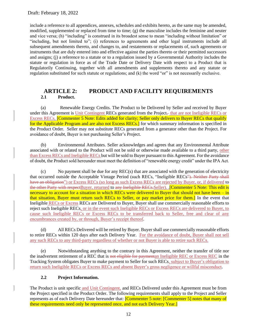include a reference to all appendices, annexes, schedules and exhibits hereto, as the same may be amended, modified, supplemented or replaced from time to time; (g) the masculine includes the feminine and neuter and vice versa; (h) "including" is construed in its broadest sense to mean "including without limitation" or "including, but not limited to"; (i) references to agreements and other legal instruments include all subsequent amendments thereto, and changes to, and restatements or replacements of, such agreements or instruments that are duly entered into and effective against the parties thereto or their permitted successors and assigns; (j) a reference to a statute or to a regulation issued by a Governmental Authority includes the statute or regulation in force as of the Trade Date or Delivery Date with respect to a Product that is Regulatorily Continuing, together with all amendments and supplements thereto and any statute or regulation substituted for such statute or regulations; and (k) the word "or" is not necessarily exclusive.

## <span id="page-11-1"></span><span id="page-11-0"></span>**ARTICLE 2: PRODUCT AND FACILITY REQUIREMENTS 2.1 Product.**

(a) Renewable Energy Credits. The Product to be Delivered by Seller and received by Buyer under this Agreement is Unit Contingent RECs generated from the Project, that are not Ineligible RECs or Excess RECs, Commenter 5 Note: Edits added for clarity; Seller only delivers to Buyer RECs that qualify for the Applicable Program and are also not Excess RECs.] for which summary information is specified in the Product Order. Seller may not substitute RECs generated from a generator other than the Project. For avoidance of doubt, Buyer is not purchasing Seller's Project.

(b) Environmental Attributes. Seller acknowledges and agrees that any Environmental Attribute associated with or related to the Product will not be sold or otherwise made available to a third party, other than Excess RECs and Ineligible RECs but will be sold to Buyer pursuant to this Agreement. For the avoidance of doubt, the Product sold hereunder must meet the definition of "renewable energy credit" under the IPA Act.

<span id="page-11-3"></span>(c) No payment shall be due for any REC(s) that are associated with the generation of electricity that occurred outside the Acceptable Vintage Period (such RECs, "Ineligible RECs"). Neither Party shall have an obligation") or Excess RECs (so long as such Excess RECs are rejected by Buyer, or, if delivered to the other Party with respect Buyer, returned to any Ineligible RECs. Seller). [Commenter 5 Note: This edit is necessary to account for a situation in which RECs were delivered to Buyer that should not have been – in that situation, Buyer must return such RECs to Seller, or pay market price for them.] In the event that Ineligible RECs or Excess RECs are Delivered to Buyer, Buyer shall use commercially reasonable efforts to reject such Ineligible RECs, or in the event such Ineligible RECs or Excess RECs are delivered to Buyer, to cause such Ineligible RECs or Excess RECs to be transferred back to Seller, free and clear of any encumbrances created by, or through, Buyer's receipt thereof.

(d) All RECs Delivered will be retired by Buyer. Buyer shall use commercially reasonable efforts to retire RECs within 120 days after each Delivery Year. For the avoidance of doubt, Buyer shall not sell any such RECs to any third-party regardless of whether or not Buyer is able to retire such RECs.

(e) Notwithstanding anything to the contrary in this Agreement, neither the transfer of title nor the inadvertent retirement of a REC that is not eligible for paymentan Ineligible REC or Excess REC in the Tracking System obligates Buyer to make payment to Seller for such RECs, subject to Buyer's obligation to return such Ineligible RECs or Excess RECs and absent Buyer's gross negligence or willful misconduct.

## **2.2 Project Information.**

<span id="page-11-2"></span>The Product is unit specific and Unit Contingent, and RECs Delivered under this Agreement must be from the Project specified in the Product Order. The following requirements shall apply to the Project and Seller represents as of each Delivery Date hereunder that: **[Commenter 5 note:** [Commenter 5] notes that many of these requirements need only be represented once, and not each Delivery Year.]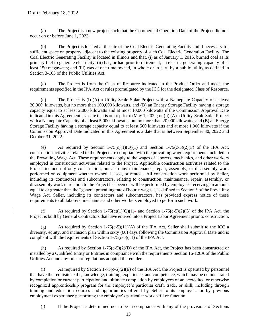<span id="page-12-0"></span>(a) The Project is a new project such that the Commercial Operation Date of the Project did not occur on or before June 1, 2023.

(b) The Project is located at the site of the Coal Electric Generating Facility and if necessary for sufficient space on property adjacent to the existing property of such Coal Electric Generation Facility. The Coal Electric Generating Facility is located in Illinois and that, (i) as of January 1, 2016, burned coal as its primary fuel to generate electricity; (ii) has, or had prior to retirement, an electric generating capacity of at least 150 megawatts; and (iii) was at one time owned, in whole or in part, by a public utility as defined in Section 3-105 of the Public Utilities Act.

(c) The Project is from the Class of Resource indicated in the Product Order and meets the requirements specified in the IPA Act or rules promulgated by the ICC for the designated Class of Resource.

(d) The Project is (i) (A) a Utility-Scale Solar Project with a Nameplate Capacity of at least 20,000 kilowatts, but no more than 100,000 kilowatts, and (B) an Energy Storage Facility having a storage capacity equal to at least 2,000 kilowatts and at most 10,000 kilowatts if the Commission Approval Date indicated in this Agreement is a date that is on or prior to May 1, 2022; or (ii) (A) a Utility-Scale Solar Project with a Nameplate Capacity of at least 5,000 kilowatts, but no more than 20,000 kilowatts, and (B) an Energy Storage Facility having a storage capacity equal to at least 500 kilowatts and at most 1,000 kilowatts if the Commission Approval Date indicated in this Agreement is a date that is between September 30, 2022 and October 31, 2022.

<span id="page-12-3"></span>(e) As required by Section 1-75(c)(1)(Q)(1) and Section 1-75(c-5)(2)(F) of the IPA Act, construction activities related to the Project are compliant with the prevailing wage requirements included in the Prevailing Wage Act. These requirements apply to the wages of laborers, mechanics, and other workers employed in construction activities related to the Project. Applicable construction activities related to the Project include not only construction, but also any maintenance, repair, assembly, or disassembly work performed on equipment whether owned, leased, or rented. All construction work performed by Seller, including its contractors and subcontractors, relating to construction, maintenance, repair, assembly, or disassembly work in relation to the Project has been or will be performed by employees receiving an amount equal to or greater than the "general prevailing rate of hourly wages", as defined in Section 3 of the Prevailing Wage Act. Seller, including its contractors and subcontractors, has provided express notice of these requirements to all laborers, mechanics and other workers employed to perform such work.

<span id="page-12-4"></span>As required by Section 1-75(c)(1)(Q)(1)- and Section 1-75(c-5)(2)(G) of the IPA Act, the Project is built by General Contractors that have entered into a Project Labor Agreement prior to construction.

<span id="page-12-5"></span>(g) As required by Section 1-75(c-5)(11)(A) of the IPA Act, Seller shall submit to the ICC a diversity, equity, and inclusion plan within sixty (60) days following the Commission Approval Date and is compliant with the requirements of Section 1-75(c-5)(11) of the IPA Act.

(h) As required by Section 1-75(c-5)(2)(D) of the IPA Act, the Project has been constructed or installed by a Qualified Entity or Entities in compliance with the requirements Section 16-128A of the Public Utilities Act and any rules or regulations adopted thereunder.

<span id="page-12-1"></span>(i) As required by Section 1-75(c-5)(2)(E) of the IPA Act, the Project is operated by personnel that have the requisite skills, knowledge, training, experience, and competence, which may be demonstrated by completion or current participation and ultimate completion by employees of an accredited or otherwise recognized apprenticeship program for the employee's particular craft, trade, or skill, including through training and education courses and opportunities offered by Seller to its employees or by previous employment experience performing the employee's particular work skill or function.

<span id="page-12-2"></span>(j) If the Project is determined not to be in compliance with any of the provisions of Sections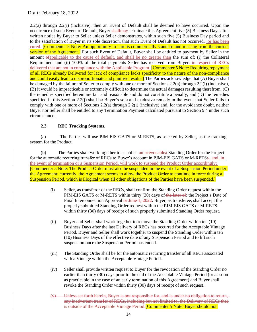[2.2\(a\)](#page-12-0) through [2.2\(i\)](#page-12-1) (inclusive), then an Event of Default shall be deemed to have occurred. Upon the occurrence of such Event of Default, Buyer shallmay terminate this Agreement five (5) Business Days after written notice by Buyer to Seller unless Seller demonstrates, within such five (5) Business Day period and to the satisfaction of Buyer in its sole discretion, that such Event of Default has not occurred- or has been cured. [Commenter 5 Note: An opportunity to cure is commercially standard and missing from the current version of the Agreement.] For such Event of Default, Buyer shall be entitled to payment by Seller in the amount ofapplicable to the cause of default, and shall be no greater than the sum of: (i) the Collateral Requirement and (ii) 100% of the total payments Seller has received from Buyer- in respect of RECs delivered that are not in compliance with the Applicable Program. [Commenter 5 Note: Requiring repayment of all RECs already Delivered for lack of compliance lacks specificity to the nature of the non-compliance and could easily lead to disproportionate and punitive results. The Parties acknowledge that (A) Buyer shall be damaged by the failure of Seller to comply with one or more of Sections [2.2\(a\)](#page-12-0) through [2.2\(i\)](#page-12-1) (inclusive), (B) it would be impracticable or extremely difficult to determine the actual damages resulting therefrom, (C) the remedies specified herein are fair and reasonable and do not constitute a penalty, and (D) the remedies specified in this Section [2.2\(j\)](#page-12-2) shall be Buyer's sole and exclusive remedy in the event that Seller fails to comply with one or more of Sections [2.2\(a\)](#page-12-0) through [2.2\(i\)](#page-12-1) (inclusive) and, for the avoidance doubt, neither Buyer nor Seller shall be entitled to any Termination Payment calculated pursuant to Section [9.4](#page-28-1) under such circumstance.

#### **2.3 REC Tracking Systems.**

<span id="page-13-0"></span>(a) The Parties will use PJM EIS GATS or M-RETS, as selected by Seller, as the tracking system for the Product.

(b) The Parties shall work together to establish an irrevocablea Standing Order for the Project for the automatic recurring transfer of RECs to Buyer's account in PJM-EIS GATS or M-RETS: , and, in the event of termination or a Suspension Period, will work to suspend the Product Order accordingly: [Commenter 5 Note: The Product Order must also be suspended in the event of a Suspension Period under the Agreement; currently, the Agreement seems to allow the Product Order to continue in force during a Suspension Period, which is illogical when all other obligations of the Parties have been suspended.]

- (i) Seller, as transferor of the RECs, shall confirm the Standing Order request within the PJM-EIS GATS or M-RETS within thirty (30) days of the later of: the Project's Date of Final Interconnection Approval or June 1, 2022. Buyer, as transferee, shall accept the properly submitted Standing Order request within the PJM-EIS GATS or M-RETS within thirty (30) days of receipt of such properly submitted Standing Order request.
- (ii) Buyer and Seller shall work together to remove the Standing Order within ten (10) Business Days after the last Delivery of RECs has occurred for the Acceptable Vintage Period. Buyer and Seller shall work together to suspend the Standing Order within ten (10) Business Days of the effective date of any Suspension Period and to lift such suspension once the Suspension Period has ended.
- (iii) The Standing Order shall be for the automatic recurring transfer of all RECs associated with a Vintage within the Acceptable Vintage Period.
- (iv) Seller shall provide written request to Buyer for the revocation of the Standing Order no earlier than thirty (30) days prior to the end of the Acceptable Vintage Period (or as soon as practicable in the case of an early termination of this Agreement) and Buyer shall revoke the Standing Order within thirty (30) days of receipt of such request.
- Unless set forth herein, Buyer is not responsible for, and is under no obligation to return, any inadvertent transfer of RECs, including but not limited to, the Delivery of RECs that is outside of the Acceptable Vintage Period.<sup>[Commenter 5</sup> Note: Buyer should not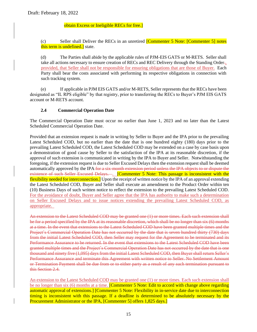#### obtain Excess or Ineligible RECs for free.]

(c) Seller shall Deliver the RECs in an unretired [Commenter 5 Note: [Commenter 5] notes this term is undefined. state.

(d) The Parties shall abide by the applicable rules of PJM-EIS GATS or M-RETS. Seller shall take all actions necessary to ensure creation of RECs and REC Delivery through the Standing Order. provided, that Seller shall not be responsible for ensuring obligations that are those of Buyer. Each Party shall bear the costs associated with performing its respective obligations in connection with such tracking system.

(e) If applicable in PJM EIS GATS and/or M-RETS, Seller represents that the RECs have been designated as "IL RPS eligible" by that registry, prior to transferring the RECs to Buyer's PJM EIS GATS account or M-RETS account.

#### **2.4 Commercial Operation Date**

<span id="page-14-0"></span>The Commercial Operation Date must occur no earlier than June 1, 2023 and no later than the Latest Scheduled Commercial Operation Date.

Provided that an extension request is made in writing by Seller to Buyer and the IPA prior to the prevailing Latest Scheduled COD, but no earlier than the date that is one hundred eighty (180) days prior to the prevailing Latest Scheduled COD, the Latest Scheduled COD may be extended on a case by case basis upon a demonstration of good cause by Seller to the satisfaction of the IPA at its reasonable discretion, if the approval of such extension is communicated in writing by the IPA to Buyer and Seller. Notwithstanding the foregoing, if the extension request is due to Seller Excused Delays then the extension request shall be deemed automatically approved by the IPA for a six-month extension period unless the IPA objects to or dispute the existence of such Seller Excused Delays. . [Commenter 5 Note: This passage is inconsistent with the flexibility needed for interconnection.] Upon the receipt of written notice by the IPA of an approval extending the Latest Scheduled COD, Buyer and Seller shall execute an amendment to the Product Order within ten (10) Business Days of such written notice to reflect the extension to the prevailing Latest Scheduled COD. For the avoidance of doubt, Buyer and Seller agree that the IPA has authority to make such a determination on Seller Excused Delays and to issue notices extending the prevailing Latest Scheduled COD, as appropriate.

An extension to the Latest Scheduled COD may be granted one (1) or more times. Each such extension shall be for a period specified by the IPA at its reasonable discretion, which shall be no longer than six (6) months at a time. In the event that extensions to the Latest Scheduled COD have been granted multiple times and the Project's Commercial Operation Date has not occurred by the date that is seven hundred thirty (730) days from the initial Latest Scheduled COD, then Seller may request for the Agreement to be terminated and its Performance Assurance to be returned. In the event that extensions to the Latest Scheduled COD have been granted multiple times and the Project's Commercial Operation Date has not occurred by the date that is one thousand and ninety five (1,095) days from the initial Latest Scheduled COD, then Buyer shall return Seller's Performance Assurance and terminate this Agreement with written notice to Seller. No Settlement Amount or Termination Payment shall be due from or to either party as a result of any such termination pursuant to this Section [2.4.](#page-14-0)

An extension to the Latest Scheduled COD may be granted one (1) or more times. Each such extension shall be no longer than six (6) months at a time. **[Commenter 5 Note: Edit to accord with change above regarding** automatic approval of extensions.] [Commenter 5 Note: Flexibility in in-service date due to interconnection timing is inconsistent with this passage. If a deadline is determined to be absolutely necessary by the Procurement Administrator or the IPA, [Commenter 5] offers 1,825 days.]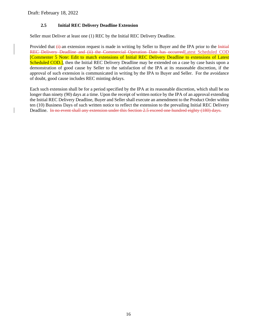## **2.5 Initial REC Delivery Deadline Extension**

<span id="page-15-0"></span>Seller must Deliver at least one (1) REC by the Initial REC Delivery Deadline.

Provided that  $\overline{(+)}$  an extension request is made in writing by Seller to Buyer and the IPA prior to the Initial REC Delivery Deadline and (ii) the Commercial Operation Date has occurredLatest Scheduled COD [Commenter 5 Note: Edit to match extensions of Initial REC Delivery Deadline to extensions of Latest Scheduled COD.], then the Initial REC Delivery Deadline may be extended on a case by case basis upon a demonstration of good cause by Seller to the satisfaction of the IPA at its reasonable discretion, if the approval of such extension is communicated in writing by the IPA to Buyer and Seller. For the avoidance of doubt, good cause includes REC minting delays.

Each such extension shall be for a period specified by the IPA at its reasonable discretion, which shall be no longer than ninety (90) days at a time. Upon the receipt of written notice by the IPA of an approval extending the Initial REC Delivery Deadline, Buyer and Seller shall execute an amendment to the Product Order within ten (10) Business Days of such written notice to reflect the extension to the prevailing Initial REC Delivery Deadline. In no event shall any extension under this Section [2.5](#page-15-0) exceed one hundred eighty (180) days.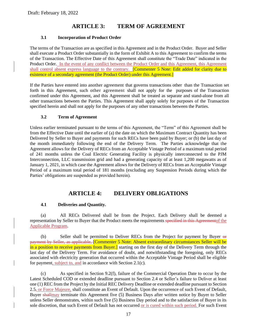# **ARTICLE 3: TERM OF AGREEMENT**

#### <span id="page-16-0"></span>**3.1 Incorporation of Product Order**

<span id="page-16-1"></span>The terms of the Transaction are as specified in this Agreement and in the Product Order. Buyer and Seller shall execute a Product Order substantially in the form of Exhibit A to this Agreement to confirm the terms of the Transaction. The Effective Date of this Agreement shall constitute the "Trade Date" indicated in the Product Order. In the event of any conflict between the Product Order and this Agreement, this Agreement shall control absent express language to the contrary. **[Commenter 5 Note: Edit added for clarity due to** existence of a secondary agreement (the Product Order) under this Agreement.

If the Parties have entered into another agreement that governs transactions other than the Transaction set forth in this Agreement, such other agreement shall not apply for the purposes of the Transaction confirmed under this Agreement, and this Agreement shall be treated as separate and stand-alone from all other transactions between the Parties. This Agreement shall apply solely for purposes of the Transaction specified herein and shall not apply for the purposes of any other transactions between the Parties.

#### **3.2 Term of Agreement**

<span id="page-16-2"></span>Unless earlier terminated pursuant to the terms of this Agreement, the "Term" of this Agreement shall be from the Effective Date until the earlier of (a) the date on which the Maximum Contract Quantity has been Delivered by Seller to Buyer and payments for such RECs have been paid by Buyer; or (b) the last day of the month immediately following the end of the Delivery Term. The Parties acknowledge that the Agreement allows for the Delivery of RECs from an Acceptable Vintage Period of a maximum total period of 241 months unless the Coal Electric Generating Facility is physically interconnected to the PJM Interconnection, LLC transmission grid and had a generating capacity of at least 1,200 megawatts as of January 1, 2021, in which case the Agreement allows for the Delivery of RECs from an Acceptable Vintage Period of a maximum total period of 181 months (excluding any Suspension Periods during which the Parties' obligations are suspended as provided herein).

## **ARTICLE 4: DELIVERY OBLIGATIONS**

#### <span id="page-16-3"></span>**4.1 Deliveries and Quantity.**

<span id="page-16-5"></span><span id="page-16-4"></span>(a) All RECs Delivered shall be from the Project. Each Delivery shall be deemed a representation by Seller to Buyer that the Product meets the requirements specified in this Agreement of the Applicable Program.

(b) Seller shall be permitted to Deliver RECs from the Project for payment by Buyer  $\Theta$ payment by Seller, as applicable, [Commenter 5 Note: Absent extraordinary circumstances Seller will be in a position to receive payments from Buyer.] starting on the first day of the Delivery Term through the last day of the Delivery Term. For avoidance of doubt, and notwithstanding the foregoing, only RECs associated with electricity generation that occurred within the Acceptable Vintage Period shall be eligible for payment, subject to, and in accordance with Section [2.1\(c\).](#page-11-3)

(c) As specified in Section [9.2\(f\),](#page-27-0) failure of the Commercial Operation Date to occur by the Latest Scheduled COD or extended deadline pursuant to Section [2.4](#page-14-0) or Seller's failure to Deliver at least one (1) REC from the Project by the Initial REC Delivery Deadline or extended deadline pursuant to Section  $2.5<sub>5</sub>$  or Force Majeure, shall constitute an Event of Default. Upon the occurrence of such Event of Default, Buyer shallmay terminate this Agreement five (5) Business Days after written notice by Buyer to Seller unless Seller demonstrates, within such five (5) Business Day period and to the satisfaction of Buyer in its sole discretion, that such Event of Default has not occurred or is cured within such period. For such Event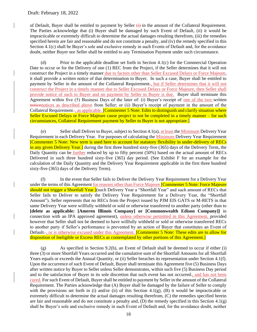of Default, Buyer shall be entitled to payment by Seller  $\overline{a}$  in the amount of the Collateral Requirement. The Parties acknowledge that (i) Buyer shall be damaged by such Event of Default, (ii) it would be impracticable or extremely difficult to determine the actual damages resulting therefrom, (iii) the remedies specified herein are fair and reasonable and do not constitute a penalty, and (iv) the remedy specified in this Section [4.1\(c\)](#page-17-2) shall be Buyer's sole and exclusive remedy in such Events of Default and, for the avoidance doubt, neither Buyer nor Seller shall be entitled to any Termination Payment under such circumstance.

<span id="page-17-2"></span>(d) Prior to the applicable deadline set forth in Section [4.1\(c\)](#page-17-2) for the Commercial Operation Date to occur or for the Delivery of one (1) REC from the Project, if the Seller determines that it will not construct the Project in a timely manner due to factors other than Seller Excused Delays or Force Majeure, it shall provide a written notice of that determination to Buyer. In such a case, Buyer shall be entitled to payment by Seller in the amount of the Collateral Requirement., but if Seller determines that it will not construct the Project in a timely manner due to Seller Excused Delays or Force Majeure, then Seller shall provide notice of such to Buyer and no payment by Seller to Buyer is due. Buyer shall terminate this Agreement within five (5) Business Days of the later of: (i) Buyer's receipt of one of the two written noticenotices as described above from Seller; or (ii) Buyer's receipt of payment in the amount of the Collateral Requirement. as applicable. **[Commenter 5 Note: Edits to distinguish and clarify situation where** Seller Excused Delays or Force Majeure cause project to not be completed in a timely manner – for such circumstances, Collateral Requirement payment by Seller to Buyer is not appropriate.]

<span id="page-17-0"></span>Seller shall Deliver to Buyer, subject to Section [4.1\(a\),](#page-16-5) at least the Minimum Delivery Year Requirement in each Delivery Year. For purposes of calculating the Minimum Delivery Year Requirement [Commenter 5 Note: New term is used here to account for statutory flexibility in under-delivery of RECs in any given Delivery Year.] during the first three hundred sixty-five (365) days of the Delivery Term, the Daily Quantity can be further reduced by up to fifty percent (50%) based on the actual amount of RECs Delivered in such three hundred sixty-five (365) day period. (See Exhibit F for an example for the calculation of the Daily Quantity and the Delivery Year Requirement applicable in the first three hundred sixty-five (365) days of the Delivery Term).

<span id="page-17-1"></span>(f) In the event that Seller fails to Deliver the Delivery Year Requirement for a Delivery Year under the terms of this Agreement for reasons other than Force Majeure **[Commenter 5 Note: Force Majeure** should not trigger a Shortfall Year.](such Delivery Year a "Shortfall Year" and such amount of RECs that Seller fails to Deliver to satisfy the Delivery Year Requirement for a Delivery Year, the "Shortfall Amount"), Seller represents that no RECs from the Project issued by PJM EIS GATS or M-RETS in that same Delivery Year were willfully withheld or sold or otherwise transferred to another party (other than to **[delete as applicable: [Ameren Illinois Company] or [Commonwealth Edison Company]]** in connection with an IPA approved agreement), unless otherwise permitted in this Agreement, provided however that Seller shall not be deemed to have willfully withheld or sold or otherwise transferred RECs to another party if Seller's performance is prevented by an action of Buyer that constitutes an Event of Default-, or is otherwise excused under this Agreement. **[Commenter 5 Note: These edits are to allow for** disposition of Ineligible or Excess RECs as contemplated by other portions of this Agreement.]

<span id="page-17-3"></span>(g) As specified in Section [9.2\(h\),](#page-27-1) an Event of Default shall be deemed to occur if either (i) three (3) or more Shortfall Years occurred and the cumulative sum of the Shortfall Amounts for all Shortfall Years equals or exceeds the Annual Quantity, or (ii) Seller breaches its representation under Section [4.1\(f\).](#page-17-1) Upon the occurrence of such Event of Default, Buyer shall terminate this Agreement five (5) Business Days after written notice by Buyer to Seller unless Seller demonstrates, within such five (5) Business Day period and to the satisfaction of Buyer in its sole discretion that such event has not occurred-, and has not been cured. For such Event of Default, Buyer shall be entitled to payment by Seller in the amount of the Collateral Requirement. The Parties acknowledge that (A) Buyer shall be damaged by the failure of Seller to comply with the provisions set forth in (i) and/or (ii) of this Section [4.1\(g\),](#page-17-3) (B) it would be impracticable or extremely difficult to determine the actual damages resulting therefrom, (C) the remedies specified herein are fair and reasonable and do not constitute a penalty and,  $(D)$  the remedy specified in this Section [4.1\(g\)](#page-17-3) shall be Buyer's sole and exclusive remedy in such Event of Default and, for the avoidance doubt, neither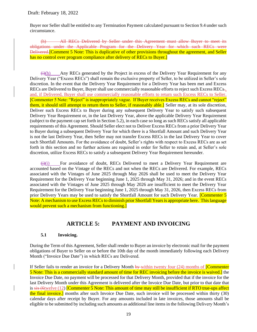Buyer nor Seller shall be entitled to any Termination Payment calculated pursuant to Sectio[n 9.4](#page-28-1) under such circumstance.

(h) All RECs Delivered by Seller under this Agreement must allow Buyer to meet its obligations under the Applicable Program for the Delivery Year for which such RECs were Delivered.[Comment 5 Note: This is duplicative of other provisions throughout the agreement, and Seller has no control over program compliance after delivery of RECs to Buyer.

<span id="page-18-2"></span> $(i)$  Any RECs generated by the Project in excess of the Delivery Year Requirement for any Delivery Year ("Excess RECs") shall remain the exclusive property of Seller, to be utilized in Seller's sole discretion. In the event that the Delivery Year Requirement for a Delivery Year has been met and Excess RECs are Delivered to Buyer, Buyer shall use commercially reasonable efforts to reject such Excess RECs. and, if Delivered, Buyer shall use commercially reasonable efforts to return such Excess RECs to Seller. [Commenter 5 Note: "Reject" is inappropriately vague. If Buyer receives Excess RECs and cannot "reject" them, it should still attempt to return them to Seller, if reasonably able.] Seller may, at its sole discretion, Deliver such Excess RECs to Buyer during any subsequent Delivery Year to satisfy such subsequent Delivery Year Requirement or, in the last Delivery Year, above the applicable Delivery Year Requirement (subject to the payment cap set forth in Section [5.2\)](#page-19-0), in each case so long as such RECs satisfy all applicable requirements of this Agreement. Should Seller elect not to Deliver Excess RECs from a prior Delivery Year to Buyer during a subsequent Delivery Year for which there is a Shortfall Amount and such Delivery Year is not the last Delivery Year, then Seller may not transfer Excess RECs in the last Delivery Year to cover such Shortfall Amounts. For the avoidance of doubt, Seller's rights with respect to Excess RECs are as set forth in this section and no further actions are required in order for Seller to retain and, at Seller's sole discretion, utilize Excess RECs to satisfy a subsequent Delivery Year Requirement hereunder.

 $\frac{f(x)}{f(x)}$  For avoidance of doubt, RECs Delivered to meet a Delivery Year Requirement are accounted based on the Vintage of the RECs and not when the RECs are Delivered. For example, RECs associated with the Vintages of June 2025 through May 2026 shall be used to meet the Delivery Year Requirement for the Delivery Year beginning June 1, 2025 through May 31, 2026; and in the event RECs associated with the Vintages of June 2025 through May 2026 are insufficient to meet the Delivery Year Requirement for the Delivery Year beginning June 1, 2025 through May 31, 2026, then Excess RECs from prior Delivery Years may be used to satisfy the Shortfall Amount for such Delivery Year. **[Commenter 5**] Note: A mechanism to use Excess RECs to diminish prior Shortfall Years is appropriate here. This language would prevent such a mechanism from functioning.

## **ARTICLE 5: PAYMENT AND INVOICING**

#### <span id="page-18-0"></span>**5.1 Invoicing.**

<span id="page-18-1"></span>During the Term of this Agreement, Seller shall render to Buyer an invoice by electronic mail for the payment obligations of Buyer to Seller on or before the 10th day of the month immediately following each Delivery Month ("Invoice Due Date") in which RECs are Delivered.

If Seller fails to render an invoice for a Delivery Month by within twenty four (24) months of **Commenter** 5 Note: This is a commercially standard amount of time for REC invoicing before the invoice is waived.] the Invoice Due Date, no payment will be processed for that Delivery Month, provided that if the invoice for the last Delivery Month under this Agreement is delivered after the Invoice Due Date, but prior to that date that is six (6twelve (12) [Commenter 5 Note: This amount of time may still be insufficient if RTO true-ups affect the final invoice.] months after such Invoice Due Date, such invoice will be processed within thirty (30) calendar days after receipt by Buyer. For any amounts included in late invoices, those amounts shall be eligible to be submitted by including such amounts as additional line items in the following Delivery Month's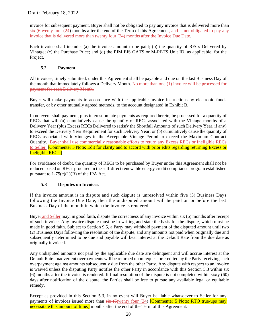invoice for subsequent payment. Buyer shall not be obligated to pay any invoice that is delivered more than six (6twenty four (24) months after the end of the Term of this Agreement, and is not obligated to pay any invoice that is delivered more than twenty four (24) months after the Invoice Due Date.

Each invoice shall include: (a) the invoice amount to be paid; (b) the quantity of RECs Delivered by Vintage; (c) the Purchase Price; and (d) the PJM EIS GATS or M-RETS Unit ID, as applicable, for the Project.

## **5.2 Payment.**

<span id="page-19-0"></span>All invoices, timely submitted, under this Agreement shall be payable and due on the last Business Day of the month that immediately follows a Delivery Month. No more than one (1) invoice will be processed for payment for each Delivery Month.

Buyer will make payments in accordance with the applicable invoice instructions by electronic funds transfer, or by other mutually agreed methods, to the account designated in Exhibit B.

In no event shall payment, plus interest on late payments as required herein, be processed for a quantity of RECs that will (a) cumulatively cause the quantity of RECs associated with the Vintage months of a Delivery Year (plus Excess RECs Delivered to satisfy the Shortfall Amounts of such Delivery Year, if any) to exceed the Delivery Year Requirement for such Delivery Year; or (b) cumulatively cause the quantity of RECs associated with Vintages in the Acceptable Vintage Period to exceed the Maximum Contract Quantity. Buyer shall use commercially reasonable efforts to return any Excess RECs or Ineligible RECs to Seller. [Commenter 5 Note: Edit for clarity and to accord with prior edits regarding returning Excess or Ineligible RECs.]

For avoidance of doubt, the quantity of RECs to be purchased by Buyer under this Agreement shall not be reduced based on RECs procured in the self-direct renewable energy credit compliance program established pursuant to  $1-75(c)(1)(R)$  of the IPA Act.

#### **5.3 Disputes on Invoices.**

<span id="page-19-1"></span>If the invoice amount is in dispute and such dispute is unresolved within five (5) Business Days following the Invoice Due Date, then the undisputed amount will be paid on or before the last Business Day of the month in which the invoice is rendered.

Buyer and Seller may, in good faith, dispute the correctness of any invoice within six (6) months after receipt of such invoice. Any invoice dispute must be in writing and state the basis for the dispute, which must be made in good faith. Subject to Section [9.5,](#page-28-2) a Party may withhold payment of the disputed amount until two (2) Business Days following the resolution of the dispute, and any amounts not paid when originally due and subsequently determined to be due and payable will bear interest at the Default Rate from the due date as originally invoiced.

Any undisputed amounts not paid by the applicable due date are delinquent and will accrue interest at the Default Rate. Inadvertent overpayments will be returned upon request or credited by the Party receiving such overpayment against amounts subsequently due from the other Party. Any dispute with respect to an invoice is waived unless the disputing Party notifies the other Party in accordance with this Section [5.3](#page-19-1) within six (6) months after the invoice is rendered. If final resolution of the dispute is not completed within sixty (60) days after notification of the dispute, the Parties shall be free to pursue any available legal or equitable remedy.

Except as provided in this Section [5.3,](#page-19-1) in no event will Buyer be liable whatsoever to Seller for any payments of invoices issued more than  $s$ ix (6twenty four (24) **[Commenter 5 Note: RTO true-ups may** necessitate this amount of time.] months after the end of the Term of this Agreement.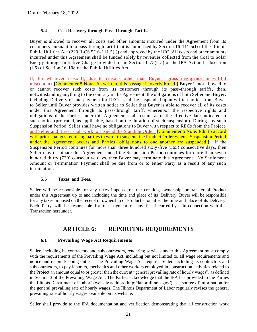#### **5.4 Cost Recovery through Pass-Through Tariffs.**

<span id="page-20-0"></span>Buyer is allowed to recover all costs and other amounts incurred under the Agreement from its customers pursuant to a pass-through tariff that is authorized by Section 16-111.5(l) of the Illinois Public Utilities Act (220 ILCS 5/16-111.5(l)) and approved by the ICC. All costs and other amounts incurred under this Agreement shall be funded solely by revenues collected from the Coal to Solar Energy Storage Initiative Charge provided for in Section 1-75(c-5) of the IPA Act and subsection (i-5) of Section 16-108 of the Public Utilities Act.

If, for whatever reasonIf, due to reasons other than Buyer's gross negligence or willful misconduct, Commenter 5 Note: As written, this passage is overly broad. Buyer is not allowed to or cannot recover such costs from its customers through its pass-through tariffs, then, notwithstanding anything to the contrary in the Agreement, the obligations of both Seller and Buyer, including Delivery of and payment for RECs, shall be suspended upon written notice from Buyer to Seller until Buyer provides written notice to Seller that Buyer is able to recover all of its costs under this Agreement through its pass-through tariff, whereupon the respective rights and obligations of the Parties under this Agreement shall resume as of the effective date indicated in such notice (pro-rated, as applicable, based on the duration of such suspension). During any such Suspension Period, Seller shall have no obligations to Buyer with respect to RECs from the Project. and Seller and Buyer shall work to suspend the Standing Order. **[Commenter 5 Note: Edit to accord** with prior changes requiring parties to work to suspend the Product Order when a Suspension Period under the Agreement occurs and Parties' obligations to one another are suspended.] If the Suspension Period continues for more than three hundred sixty-five (365) consecutive days, then Seller may terminate this Agreement and if the Suspension Period continues for more than seven hundred thirty (730) consecutive days, then Buyer may terminate this Agreement. No Settlement Amount or Termination Payment shall be due from or to either Party as a result of any such termination.

#### **5.5 Taxes and Fees.**

<span id="page-20-1"></span>Seller will be responsible for any taxes imposed on the creation, ownership, or transfer of Product under this Agreement up to and including the time and place of its Delivery. Buyer will be responsible for any taxes imposed on the receipt or ownership of Product at or after the time and place of its Delivery. Each Party will be responsible for the payment of any fees incurred by it in connection with this Transaction hereunder.

## **ARTICLE 6: REPORTING REQUIREMENTS**

#### <span id="page-20-2"></span>**6.1 Prevailing Wage Act Requirements**

<span id="page-20-3"></span>Seller, including its contractors and subcontractors, rendering services under this Agreement must comply with the requirements of the Prevailing Wage Act, including but not limited to, all wage requirements and notice and record keeping duties. The Prevailing Wage Act requires Seller, including its contractors and subcontractors, to pay laborers, mechanics and other workers employed in construction activities related to the Project an amount equal to or greater than the current "general prevailing rate of hourly wages", as defined in Section 3 of the Prevailing Wage Act. The Parties acknowledge that the IPA has provided to the Parties the Illinois Department of Labor's website address (http://labor.illinois.gov/) as a source of information for the general prevailing rate of hourly wages. The Illinois Department of Labor regularly revises the general prevailing rate of hourly wages available on its website.

Seller shall provide to the IPA documentation and verification demonstrating that all construction work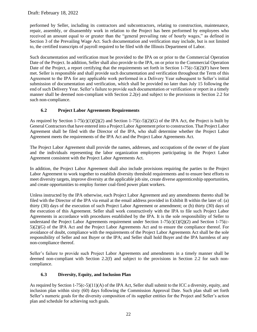performed by Seller, including its contractors and subcontractors, relating to construction, maintenance, repair, assembly, or disassembly work in relation to the Project has been performed by employees who received an amount equal to or greater than the "general prevailing rate of hourly wages," as defined in Section 3 of the Prevailing Wage Act. Such documentation and verification may include, but is not limited to, the certified transcripts of payroll required to be filed with the Illinois Department of Labor.

Such documentation and verification must be provided to the IPA on or prior to the Commercial Operation Date of the Project. In addition, Seller shall also provide to the IPA, on or prior to the Commercial Operation Date of the Project, a report certifying that the requirements set forth in Section 1-75(c-5)(2)(F) have been met. Seller is responsible and shall provide such documentation and verification throughout the Term of this Agreement to the IPA for any applicable work performed in a Delivery Year subsequent to Seller's initial submission of documentation and verification, which shall be provided no later than July 15 following the end of such Delivery Year. Seller's failure to provide such documentation or verification or report in a timely manner shall be deemed non-compliant with Section [2.2\(e\)](#page-12-3) and subject to the provisions in Section [2.2](#page-11-2) for such non-compliance.

## **6.2 Project Labor Agreements Requirements**

<span id="page-21-0"></span>As required by Section  $1-75(c)(1)(Q)(2)$  and Section  $1-75(c-5)(2)(G)$  of the IPA Act, the Project is built by General Contractors that have entered into a Project Labor Agreement prior to construction. That Project Labor Agreement shall be filed with the Director of the IPA, who shall determine whether the Project Labor Agreement meets the requirements of the IPA Act and the Project Labor Agreements Act.

The Project Labor Agreement shall provide the names, addresses, and occupations of the owner of the plant and the individuals representing the labor organization employees participating in the Project Labor Agreement consistent with the Project Labor Agreements Act.

In addition, the Project Labor Agreement shall also include provisions requiring the parties to the Project Labor Agreement to work together to establish diversity threshold requirements and to ensure best efforts to meet diversity targets, improve diversity at the applicable job site, create diverse apprenticeship opportunities, and create opportunities to employ former coal-fired power plant workers.

Unless instructed by the IPA otherwise, each Project Labor Agreement and any amendments thereto shall be filed with the Director of the IPA via email at the email address provided in Exhibit B within the later of: (a) thirty (30) days of the execution of such Project Labor Agreement or amendment; or (b) thirty (30) days of the execution of this Agreement. Seller shall work constructively with the IPA to file such Project Labor Agreements in accordance with procedures established by the IPA. It is the sole responsibility of Seller to understand the Project Labor Agreements requirement under Section  $1-75(c)(1)(Q)(2)$  and Section  $1-75(c-1)$ 5)(2)(G) of the IPA Act and the Project Labor Agreements Act and to ensure the compliance thereof. For avoidance of doubt, compliance with the requirements of the Project Labor Agreements Act shall be the sole responsibility of Seller and not Buyer or the IPA; and Seller shall hold Buyer and the IPA harmless of any non-compliance thereof.

Seller's failure to provide such Project Labor Agreements and amendments in a timely manner shall be deemed non-compliant with Section [2.2\(f\)](#page-12-4) and subject to the provisions in Section [2.2](#page-11-2) for such noncompliance.

## **6.3 Diversity, Equity, and Inclusion Plan**

<span id="page-21-1"></span>As required by Section 1-75(c-5)(11)(A) of the IPA Act, Seller shall submit to the ICC a diversity, equity, and inclusion plan within sixty (60) days following the Commission Approval Date. Such plan shall set forth Seller's numeric goals for the diversity composition of its supplier entities for the Project and Seller's action plan and schedule for achieving such goals.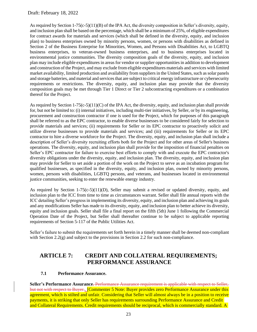As required by Section 1-75(c-5)(11)(B) of the IPA Act, the diversity composition in Seller's diversity, equity, and inclusion plan shall be based on the percentage, which shall be a minimum of 25%, of eligible expenditures for contract awards for materials and services (which shall be defined in the diversity, equity, and inclusion plan) to business enterprises owned by minority persons, women, or persons with disabilities as defined in Section 2 of the Business Enterprise for Minorities, Women, and Persons with Disabilities Act, to LGBTQ business enterprises, to veteran-owned business enterprises, and to business enterprises located in environmental justice communities. The diversity composition goals of the diversity, equity, and inclusion plan may include eligible expenditures in areas for vendor or supplier opportunities in addition to development and construction of the Project, and may exclude from eligible expenditures materials and services with limited market availability, limited production and availability from suppliers in the United States, such as solar panels and storage batteries, and material and services that are subject to critical energy infrastructure or cybersecurity requirements or restrictions. The diversity, equity, and inclusion plan may provide that the diversity composition goals may be met through Tier 1 Direct or Tier 2 subcontracting expenditures or a combination thereof for the Project.

As required by Section 1-75(c-5)(11)(C) of the IPA Act, the diversity, equity, and inclusion plan shall provide for, but not be limited to: (i) internal initiatives, including multi-tier initiatives, by Seller, or by its engineering, procurement and construction contractor if one is used for the Project, which for purposes of this paragraph shall be referred to as the EPC contractor, to enable diverse businesses to be considered fairly for selection to provide materials and services; (ii) requirements for Seller or its EPC contractor to proactively solicit and utilize diverse businesses to provide materials and services; and (iii) requirements for Seller or its EPC contractor to hire a diverse workforce for the Project. The diversity, equity, and inclusion plan shall include a description of Seller's diversity recruiting efforts both for the Project and for other areas of Seller's business operations. The diversity, equity, and inclusion plan shall provide for the imposition of financial penalties on Seller's EPC contractor for failure to exercise best efforts to comply with and execute the EPC contractor's diversity obligations under the diversity, equity, and inclusion plan. The diversity, equity, and inclusion plan may provide for Seller to set aside a portion of the work on the Project to serve as an incubation program for qualified businesses, as specified in the diversity, equity, and inclusion plan, owned by minority persons, women, persons with disabilities, LGBTQ persons, and veterans, and businesses located in environmental justice communities, seeking to enter the renewable energy industry.

As required by Section 1-75(c-5)(11)(D), Seller may submit a revised or updated diversity, equity, and inclusion plan to the ICC from time to time as circumstances warrant. Seller shall file annual reports with the ICC detailing Seller's progress in implementing its diversity, equity, and inclusion plan and achieving its goals and any modifications Seller has made to its diversity, equity, and inclusion plan to better achieve its diversity, equity and inclusion goals. Seller shall file a final report on the fifth (5th) June 1 following the Commercial Operation Date of the Project, but Seller shall thereafter continue to be subject to applicable reporting requirements of Section 5-117 of the Public Utilities Act.

Seller's failure to submit the requirements set forth herein in a timely manner shall be deemed non-compliant with Section [2.2\(g\)](#page-12-5) and subject to the provisions in Section [2.2](#page-11-2) for such non-compliance.

# <span id="page-22-0"></span>**ARTICLE 7: CREDIT AND COLLATERAL REQUIREMENTS; PERFORMANCE ASSURANCE**

#### **7.1 Performance Assurance.**

<span id="page-22-1"></span>**Seller's Performance Assurance.** Performance Assurance requirement is applicable with respect to Seller, but not with respect to Buyer.**.** [Commenter 5 Note: Buyer provides zero Performance Assurance under this agreement, which is stilted and unfair. Considering that Seller will almost always be in a position to receive payments, it is striking that only Seller has requirements surrounding Performance Assurance and Credit and Collateral Requirements. Credit requirements should be reciprocal, which is commercially standard. A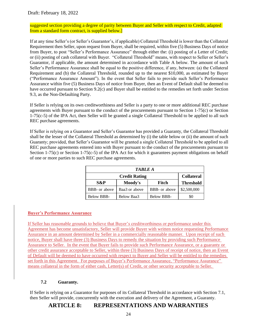suggested section providing a degree of parity between Buyer and Seller with respect to Credit, adapted from a standard form contract, is supplied below.]

If at any time Seller's (or Seller's Guarantor's, if applicable) Collateral Threshold is lower than the Collateral Requirement then Seller, upon request from Buyer, shall be required, within five (5) Business Days of notice from Buyer, to post "Seller's Performance Assurance" through either the: (i) posting of a Letter of Credit; or (ii) posting of cash collateral with Buyer. "Collateral Threshold" means, with respect to Seller or Seller's Guarantor, if applicable, the amount determined in accordance with Table A below. The amount of such Seller's Performance Assurance shall be equal to the positive difference, if any, between: (a) the Collateral Requirement and (b) the Collateral Threshold, rounded up to the nearest \$10,000, as estimated by Buyer ("Performance Assurance Amount"). In the event that Seller fails to provide such Seller's Performance Assurance within five (5) Business Days of notice from Buyer, then an Event of Default shall be deemed to have occurred pursuant to Section [9.2\(c\)](#page-27-2) and Buyer shall be entitled to the remedies set forth under Section [9.3,](#page-28-0) as the Non-Defaulting Party.

If Seller is relying on its own creditworthiness and Seller is a party to one or more additional REC purchase agreements with Buyer pursuant to the conduct of the procurements pursuant to Section 1-75(c) or Section 1-75(c-5) of the IPA Act, then Seller will be granted a single Collateral Threshold to be applied to all such REC purchase agreements.

If Seller is relying on a Guarantor and Seller's Guarantor has provided a Guaranty, the Collateral Threshold shall be the lesser of the Collateral Threshold as determined by (i) the table below or (ii) the amount of such Guaranty; provided, that Seller's Guarantor will be granted a single Collateral Threshold to be applied to all REC purchase agreements entered into with Buyer pursuant to the conduct of the procurements pursuant to Section 1-75(c) or Section 1-75(c-5) of the IPA Act for which it guarantees payment obligations on behalf of one or more parties to such REC purchase agreements.

| <b>TABLE A</b>                            |               |                       |             |  |  |  |  |  |
|-------------------------------------------|---------------|-----------------------|-------------|--|--|--|--|--|
| <b>Collateral</b><br><b>Credit Rating</b> |               |                       |             |  |  |  |  |  |
| S&P                                       | Fitch         | <b>Threshold</b>      |             |  |  |  |  |  |
| BBB- or above                             | Baa3 or above | <b>BBB</b> - or above | \$2,500,000 |  |  |  |  |  |
| <b>Below BBB-</b>                         | Below Baa3    | <b>Below BBB-</b>     | \$0         |  |  |  |  |  |

## **Buyer's Performance Assurance**

If Seller has reasonable grounds to believe that Buyer's creditworthiness or performance under this Agreement has become unsatisfactory, Seller will provide Buyer with written notice requesting Performance Assurance in an amount determined by Seller in a commercially reasonable manner. Upon receipt of such notice, Buyer shall have three (3) Business Days to remedy the situation by providing such Performance Assurance to Seller. In the event that Buyer fails to provide such Performance Assurance, or a guaranty or other credit assurance acceptable to Seller, within three (3) Business Days of receipt of notice, then an Event of Default will be deemed to have occurred with respect to Buyer and Seller will be entitled to the remedies set forth in this Agreement. For purposes of Buyer's Performance Assurance, "Performance Assurance" means collateral in the form of either cash, Letter(s) of Credit, or other security acceptable to Seller.

#### **7.2 Guaranty.**

<span id="page-23-1"></span><span id="page-23-0"></span>If Seller is relying on a Guarantor for purposes of its Collateral Threshold in accordance with Section [7.1,](#page-22-1) then Seller will provide, concurrently with the execution and delivery of the Agreement, a Guaranty.

## **ARTICLE 8: REPRESENTATIONS AND WARRANTIES**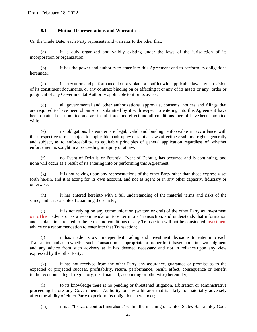#### **8.1 Mutual Representations and Warranties.**

<span id="page-24-0"></span>On the Trade Date, each Party represents and warrants to the other that:

(a) it is duly organized and validly existing under the laws of the jurisdiction of its incorporation or organization;

(b) it has the power and authority to enter into this Agreement and to perform its obligations hereunder;

(c) its execution and performance do not violate or conflict with applicable law, any provision of its constituent documents, or any contract binding on or affecting it or any of its assets or any order or judgment of any Governmental Authority applicable to it or its assets;

all governmental and other authorizations, approvals, consents, notices and filings that are required to have been obtained or submitted by it with respect to entering into this Agreement have been obtained or submitted and are in full force and effect and all conditions thereof have been complied with;

(e) its obligations hereunder are legal, valid and binding, enforceable in accordance with their respective terms, subject to applicable bankruptcy or similar laws affecting creditors' rights generally and subject, as to enforceability, to equitable principles of general application regardless of whether enforcement is sought in a proceeding in equity or at law;

(f) no Event of Default, or Potential Event of Default, has occurred and is continuing, and none will occur as a result of its entering into or performing this Agreement;

(g) it is not relying upon any representations of the other Party other than those expressly set forth herein, and it is acting for its own account, and not as agent or in any other capacity, fiduciary or otherwise;

(h) it has entered hereinto with a full understanding of the material terms and risks of the same, and it is capable of assuming those risks;

it is not relying on any communication (written or oral) of the other Party as investment or other advice or as a recommendation to enter into a Transaction, and understands that information and explanations related to the terms and conditions of any Transaction will not be considered investment advice or a recommendation to enter into that Transaction;

it has made its own independent trading and investment decisions to enter into each Transaction and as to whether such Transaction is appropriate or proper for it based upon its own judgment and any advice from such advisors as it has deemed necessary and not in reliance upon any view expressed by the other Party;

(k) it has not received from the other Party any assurance, guarantee or promise as to the expected or projected success, profitability, return, performance, result, effect, consequence or benefit (either economic, legal, regulatory, tax, financial, accounting or otherwise) hereunder;

(l) to its knowledge there is no pending or threatened litigation, arbitration or administrative proceeding before any Governmental Authority or any arbitrator that is likely to materially adversely affect the ability of either Party to perform its obligations hereunder;

(m) it is a "forward contract merchant" within the meaning of United States Bankruptcy Code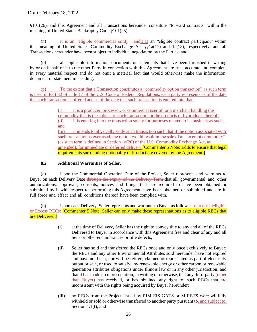§101(26), and this Agreement and all Transactions hereunder constitute "forward contracts" within the meaning of United States Bankruptcy Code §101(25);

(n) it is an "eligible commercial entity", andit is an "eligible contract participant" within the meaning of United States Commodity Exchange Act §§1a(17) and 1a(18), respectively, and all Transactions hereunder have been subject to individual negotiation by the Parties; and

(o) all applicable information, documents or statements that have been furnished in writing by or on behalf of it to the other Party in connection with this Agreement are true, accurate and complete in every material respect and do not omit a material fact that would otherwise make the information, document or statement misleading.

(p) To the extent that a Transaction constitutes a "commodity option transaction" as such term is used in Part 32 of Title 17 of the U.S. Code of Federal Regulations, each party represents as of the date that such transaction is offered and as of the date that such transaction is entered into that:

> (i) it is a producer, processor, or commercial user of, or a merchant handling the commodity that is the subject of such transaction, or the products or byproducts thereof; (ii) it is entering into the transaction solely for purposes related to its business as such; and

(iii) it intends to physically settle such transaction such that if the option associated with such transaction is exercised, the option would result in the sale of an "exempt commodity" (as such term is defined in Section 1a(20) of the U.S. Commodity Exchange Act, as amended), for immediate or deferred delivery.<sup>[Commenter 5</sup> Note: Edits to ensure that legal requirements surrounding optionality of Product are covered by the Agreement.]

#### **8.2 Additional Warranties of Seller.**

<span id="page-25-0"></span>(a) Upon the Commercial Operation Date of the Project, Seller represents and warrants to Buyer on each Delivery Date through the expiry of the Delivery Term that all governmental and other authorizations, approvals, consents, notices and filings that are required to have been obtained or submitted by it with respect to performing this Agreement have been obtained or submitted and are in full force and effect and all conditions thereof have been complied with.

(b) Upon each Delivery, Seller represents and warrants to Buyer as follows $\div$  as to not Ineligible or Excess RECs: **[Commenter 5 Note: Seller can only make these representations as to eligible RECs that** are Delivered.]

- (i) at the time of Delivery, Seller has the right to convey title to any and all of the RECs Delivered to Buyer in accordance with this Agreement free and clear of any and all liens or other encumbrances or title defects;
- (ii) Seller has sold and transferred the RECs once and only once exclusively to Buyer; the RECs and any other Environmental Attributes sold hereunder have not expired and have not been, nor will be retired, claimed or represented as part of electricity output or sale, or used to satisfy any renewable energy or other carbon or renewable generation attributes obligations under Illinois law or in any other jurisdiction; and that it has made no representation, in writing or otherwise, that any third-party (other than Buyer) has received, or has obtained any right to, such RECs that are inconsistent with the rights being acquired by Buyer hereunder;
- <span id="page-25-1"></span>(iii) no RECs from the Project issued by PJM EIS GATS or M-RETS were willfully withheld or sold or otherwise transferred to another party pursuant to, and subject to, Section [4.1\(f\);](#page-17-1) and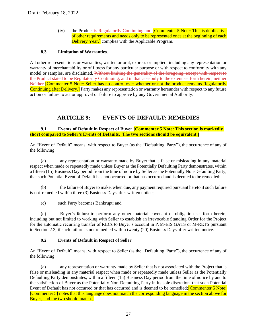$(iv)$  the Product is Regulatorily Continuing and  $[Comment 5 Note: This is duplicative]$ of other requirements and needs only to be represented once at the beginning of each Delivery Year.] complies with the Applicable Program.

#### **8.3 Limitation of Warranties.**

<span id="page-26-0"></span>All other representations or warranties, written or oral, express or implied, including any representation or warranty of merchantability or of fitness for any particular purpose or with respect to conformity with any model or samples, are disclaimed. Without limiting the generality of the foregoing, except with respect to the Product stated to be Regulatorily Continuing, and in that case only to the extent set forth herein, neither Neither **[Commenter 5 Note: Seller has no control over whether or not the product remains Regulatorily** Continuing after Delivery.] Party makes any representation or warranty hereunder with respect to any future action or failure to act or approval or failure to approve by any Governmental Authority.

## **ARTICLE 9: EVENTS OF DEFAULT; REMEDIES**

<span id="page-26-2"></span><span id="page-26-1"></span>**9.1 Events of Default in Respect of Buyer [Commenter 5 Note: This section is markedly short compared to Seller's Events of Defaults. The two sections should be equivalent.]**

An "Event of Default" means, with respect to Buyer (as the "Defaulting Party"), the occurrence of any of the following:

(a) any representation or warranty made by Buyer that is false or misleading in any material respect when made or repeatedly made unless Buyer as the Potentially Defaulting Party demonstrates, within a fifteen (15) Business Day period from the time of notice by Seller as the Potentially Non-Defaulting Party, that such Potential Event of Default has not occurred or that has occurred and is deemed to be remedied;

(b) the failure of Buyer to make, when due, any payment required pursuant hereto if such failure is not remedied within three (3) Business Days after written notice;

(c) such Party becomes Bankrupt; and

(d) Buyer's failure to perform any other material covenant or obligation set forth herein, including but not limited to working with Seller to establish an irrevocable Standing Order for the Project for the automatic recurring transfer of RECs to Buyer's account in PJM-EIS GATS or M-RETS pursuant to Section [2.3,](#page-13-0) if such failure is not remedied within twenty (20) Business Days after written notice.

#### **9.2 Events of Default in Respect of Seller**

<span id="page-26-3"></span>An "Event of Default" means, with respect to Seller (as the "Defaulting Party"), the occurrence of any of the following:

(a) any representation or warranty made by Seller that is not associated with the Project that is false or misleading in any material respect when made or repeatedly made unless Seller as the Potentially Defaulting Party demonstrates, within a fifteen (15) Business Day period from the time of notice by and to the satisfaction of Buyer as the Potentially Non-Defaulting Party in its sole discretion, that such Potential Event of Default has not occurred or that has occurred and is deemed to be remedied; **Commenter 5 Note:** [Commenter 5] notes that this language does not match the corresponding language in the section above for Buyer, and the two should match.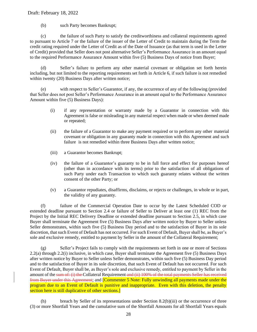(b) such Party becomes Bankrupt;

<span id="page-27-2"></span>(c) the failure of such Party to satisfy the creditworthiness and collateral requirements agreed to pursuant to Article 7 or the failure of the issuer of the Letter of Credit to maintain during the Term the credit rating required under the Letter of Credit as of the Date of Issuance (as that term is used in the Letter of Credit) provided that Seller does not post alternative Seller's Performance Assurance in an amount equal to the required Performance Assurance Amount within five (5) Business Days of notice from Buyer;

(d) Seller's failure to perform any other material covenant or obligation set forth herein including, but not limited to the reporting requirements set forth in Article 6, if such failure is not remedied within twenty (20) Business Days after written notice;

(e) with respect to Seller's Guarantor, if any, the occurrence of any of the following (provided that Seller does not post Seller's Performance Assurance in an amount equal to the Performance Assurance Amount within five (5) Business Days):

- (i) if any representation or warranty made by a Guarantor in connection with this Agreement is false or misleading in any material respect when made or when deemed made or repeated;
- (ii) the failure of a Guarantor to make any payment required or to perform any other material covenant or obligation in any guaranty made in connection with this Agreement and such failure is not remedied within three Business Days after written notice;
- (iii) a Guarantor becomes Bankrupt;
- (iv) the failure of a Guarantor's guaranty to be in full force and effect for purposes hereof (other than in accordance with its terms) prior to the satisfaction of all obligations of such Party under each Transaction to which such guaranty relates without the written consent of the other Party; or
- (v) a Guarantor repudiates, disaffirms, disclaims, or rejects or challenges, in whole or in part, the validity of any guaranty.

<span id="page-27-0"></span>(f) failure of the Commercial Operation Date to occur by the Latest Scheduled COD or extended deadline pursuant to Section [2.4](#page-14-0) or failure of Seller to Deliver at least one (1) REC from the Project by the Initial REC Delivery Deadline or extended deadline pursuant to Section [2.5,](#page-15-0) in which case Buyer shall terminate the Agreement five (5) Business Days after written notice by Buyer to Seller unless Seller demonstrates, within such five (5) Business Day period and to the satisfaction of Buyer in its sole discretion, that such Event of Default has not occurred. For such Event of Default, Buyer shall be, as Buyer's sole and exclusive remedy, entitled to payment by Seller in the amount of the Collateral Requirement;

<span id="page-27-3"></span>(g) Seller's Project fails to comply with the requirements set forth in one or more of Sections [2.2\(a\)](#page-12-0) through [2.2\(i\)](#page-12-1) inclusive, in which case, Buyer shall terminate the Agreement five (5) Business Days after written notice by Buyer to Seller unless Seller demonstrates, within such five (5) Business Day period and to the satisfaction of Buyer in its sole discretion, that such Event of Default has not occurred. For such Event of Default, Buyer shall be, as Buyer's sole and exclusive remedy, entitled to payment by Seller in the amount of the sum of: (i) the Collateral Requirement and (ii) 100% of the total payments Seller has received from Buyer under this Agreement; and [Commenter 5 Note: Fully unwinding all payments made under the program due to an Event of Default is punitive and inappropriate. Even with this deletion, the penalty section here is still duplicative of other sections.]

<span id="page-27-1"></span>(h) breach by Seller of its representations under Section [8.2\(b\)\(iii\)](#page-25-1) or the occurrence of three (3) or more Shortfall Years and the cumulative sum of the Shortfall Amounts for all Shortfall Years equals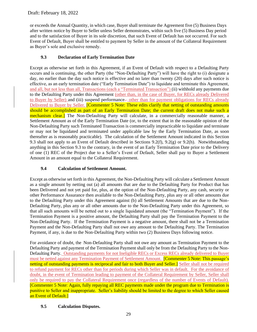or exceeds the Annual Quantity, in which case, Buyer shall terminate the Agreement five (5) Business Days after written notice by Buyer to Seller unless Seller demonstrates, within such five (5) Business Day period and to the satisfaction of Buyer in its sole discretion, that such Event of Default has not occurred. For such Event of Default, Buyer shall be entitled to payment by Seller in the amount of the Collateral Requirement as Buyer's sole and exclusive remedy.

## **9.3 Declaration of Early Termination Date**

<span id="page-28-0"></span>Except as otherwise set forth in this Agreement, if an Event of Default with respect to a Defaulting Party occurs and is continuing, the other Party (the "Non-Defaulting Party") will have the right to (i) designate a day, no earlier than the day such notice is effective and no later than twenty (20) days after such notice is effective, as an early termination date ("Early Termination Date") to liquidate and terminate this Agreement, and all, but not less than all, Transactions (each a "Terminated Transaction") (ii) withhold any payments due to the Defaulting Party under this Agreement (other than, in the case of Buyer, for RECs already Delivered to Buyer by Seller) and (iii) suspend performance— other than for payment obligations for RECs already Delivered to Buyer by Seller. **[Commenter 5 Note: These edits clarify that netting of outstanding amounts** should be accomplished as part of an Early Termination Date; the current draft does not make such a mechanism clear.] The Non-Defaulting Party will calculate, in a commercially reasonable manner, a Settlement Amount as of the Early Termination Date (or, to the extent that in the reasonable opinion of the Non-Defaulting Party such Terminated Transaction is commercially impracticable to liquidate and terminate or may not be liquidated and terminated under applicable law by the Early Termination Date, as soon thereafter as is reasonably practicable). The calculation of the Settlement Amount indicated in this Section [9.3](#page-28-0) shall not apply to an Event of Default described in Sections [9.2\(f\),](#page-27-0) [9.2\(g\)](#page-27-3) or [9.2\(h\).](#page-27-1) Notwithstanding anything in this Section [9.3](#page-28-0) to the contrary, in the event of an Early Termination Date prior to the Delivery of one (1) REC of the Project due to a Seller's Event of Default, Seller shall pay to Buyer a Settlement Amount in an amount equal to the Collateral Requirement.

### **9.4 Calculation of Settlement Amount.**

<span id="page-28-1"></span>Except as otherwise set forth in this Agreement, the Non-Defaulting Party will calculate a Settlement Amount as a single amount by netting out (a) all amounts that are due to the Defaulting Party for Product that has been Delivered and not yet paid for, plus, at the option of the Non-Defaulting Party, any cash, security or other Performance Assurance then available to the Non-Defaulting Party, plus any or all other amounts due to the Defaulting Party under this Agreement against (b) all Settlement Amounts that are due to the Non-Defaulting Party, plus any or all other amounts due to the Non-Defaulting Party under this Agreement, so that all such amounts will be netted out to a single liquidated amount (the "Termination Payment"). If the Termination Payment is a positive amount, the Defaulting Party shall pay the Termination Payment to the Non-Defaulting Party. If the Termination Payment is a negative amount, there shall not be a Termination Payment and the Non-Defaulting Party shall not owe any amount to the Defaulting Party. The Termination Payment, if any, is due to the Non-Defaulting Party within two (2) Business Days following notice.

For avoidance of doubt, the Non-Defaulting Party shall not owe any amount as Termination Payment to the Defaulting Party and payment of the Termination Payment shall only be from the Defaulting Party to the Non-Defaulting Party. Outstanding payments for not Ineligible RECs or Excess RECs already delivered to Buyer must be netted against any Termination Payment of Settlement Amount. **[Commenter 5 Note: This passage's** netting of outstanding payments is reciprocal and fair to both Buyer and Seller.] Seller shall not be required to refund payment for RECs other than for periods during which Seller was in default. For the avoidance of doubt, in the event of Termination leading to payment of the Collateral Requirement by Seller, Seller shall only be required to pay the Collateral Requirement once (regardless of the number of Events of Default). [Commenter 5 Note: Again, fully repaying all REC payments made under the program due to Termination is punitive to Seller and inappropriate. Seller's liability should be limited to the degree to which Seller caused an Event of Default.]

#### <span id="page-28-2"></span>**9.5 Calculation Disputes.**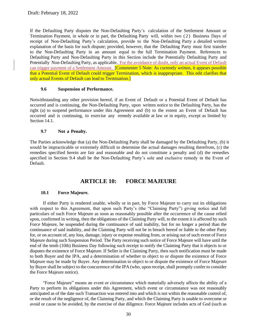If the Defaulting Party disputes the Non-Defaulting Party's calculation of the Settlement Amount or Termination Payment, in whole or in part, the Defaulting Party will, within two (2) Business Days of receipt of Non-Defaulting Party's calculation, provide to the Non-Defaulting Party a detailed written explanation of the basis for such dispute; provided, however, that the Defaulting Party must first transfer to the Non-Defaulting Party in an amount equal to the full Termination Payment. References to Defaulting Party and Non-Defaulting Party in this Section include the Potentially Defaulting Party and Potentially Non-Defaulting Party, as applicable. For the avoidance of doubt, only an actual Event of Default can trigger payment of a Settlement Amount. **[Commenter 5 Note: As currently written, it appears possible** that a Potential Event of Default could trigger Termination, which is inappropriate. This edit clarifies that only actual Events of Default can lead to Termination.]

#### **9.6 Suspension of Performance.**

<span id="page-29-0"></span>Notwithstanding any other provision hereof, if an Event of Default or a Potential Event of Default has occurred and is continuing, the Non-Defaulting Party, upon written notice to the Defaulting Party, has the right (a) to suspend performance under this Agreement and (b) to the extent an Event of Default has occurred and is continuing, to exercise any remedy available at law or in equity, except as limited by Section [14.1.](#page-32-6)

#### **9.7 Not a Penalty.**

<span id="page-29-1"></span>The Parties acknowledge that (a) the Non-Defaulting Party shall be damaged by the Defaulting Party, (b) it would be impracticable or extremely difficult to determine the actual damages resulting therefrom, (c) the remedies specified herein are fair and reasonable and do not constitute a penalty and (d) the remedies specified in Section [9.4](#page-28-1) shall be the Non-Defaulting Party's sole and exclusive remedy in the Event of Default.

## **ARTICLE 10: FORCE MAJEURE**

#### <span id="page-29-2"></span>**10.1 Force Majeure.**

<span id="page-29-3"></span>If either Party is rendered unable, wholly or in part, by Force Majeure to carry out its obligations with respect to this Agreement, that upon such Party's (the "Claiming Party") giving notice and full particulars of such Force Majeure as soon as reasonably possible after the occurrence of the cause relied upon, confirmed in writing, then the obligations of the Claiming Party will, to the extent it is affected by such Force Majeure, be suspended during the continuance of said inability, but for no longer a period than the continuance of said inability, and the Claiming Party will not be in breach hereof or liable to the other Party for, or on account of, any loss, damage, injury or expense resulting from, or arising out of such event of Force Majeure during such Suspension Period. The Party receiving such notice of Force Majeure will have until the end of the tenth (10th) Business Day following such receipt to notify the Claiming Party that it objects to or disputes the existence of Force Majeure. If Seller is the Claiming Party, then such notification must be made to both Buyer and the IPA, and a determination of whether to object to or dispute the existence of Force Majeure may be made by Buyer. Any determination to object to or dispute the existence of Force Majeure by Buyer shall be subject to the concurrence of the IPA (who, upon receipt, shall promptly confer to consider the Force Majeure notice).

"Force Majeure" means an event or circumstance which materially adversely affects the ability of a Party to perform its obligations under this Agreement, which event or circumstance was not reasonably anticipated as of the date such Transaction was entered into and which is not within the reasonable control of, or the result of the negligence of, the Claiming Party, and which the Claiming Party is unable to overcome or avoid or cause to be avoided, by the exercise of due diligence. Force Majeure includes acts of God (such as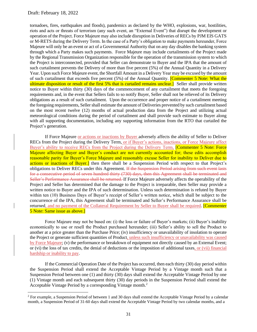tornadoes, fires, earthquakes and floods), pandemics as declared by the WHO, explosions, war, hostilities, riots and acts or threats of terrorism (any such event, an "External Event") that disrupt the development or operation of the Project. Force Majeure may also include disruption in Deliveries of RECs by PJM EIS GATS or M-RETS during the Delivery Term. In the case of a Party's obligation to make payments hereunder, Force Majeure will only be an event or act of a Governmental Authority that on any day disables the banking system through which a Party makes such payments. Force Majeure may include curtailments of the Project made by the Regional Transmission Organization responsible for the operation of the transmission system to which the Project is interconnected, provided that Seller can demonstrate to Buyer and the IPA that the amount of such curtailment prevents the Delivery of more than five percent (5%) of the Annual Quantity in a Delivery Year. Upon such Force Majeure event, the Shortfall Amount in a Delivery Year may be excused by the amount of such curtailment that exceeds five percent (5%) of the Annual Quantity. [Commenter 5 Note: What the ultimate disposition or result of the first 5% that is curtailed remains unclear. Seller shall provide written notice to Buyer within thirty (30) days of the commencement of any curtailment that meets the foregoing requirements and, in the event that Sellers fails to so notify Buyer, Seller shall not be relieved of its Delivery obligations as a result of such curtailment. Upon the occurrence and proper notice of a curtailment meeting the foregoing requirements, Seller shall estimate the amount of Deliveries prevented by such curtailment based on the most recent twelve (12) months of actual production data from the Project and utilizing actual meteorological conditions during the period of curtailment and shall provide such estimate to Buyer along with all supporting documentation, including any supporting information from the RTO that curtailed the Project's generation.

If Force Majeure or actions or inactions by Buyer adversely affects the ability of Seller to Deliver RECs from the Project during the Delivery Term, or if Buyer's actions, inactions, or Force Majeure affect Buyer's ability to receive RECs from the Project during the Delivery Term, [Commenter 5 Note: Force Majeure affecting Buyer and Buyer's conduct are not currently accounted for; these edits accomplish reasonable parity for Buyer's Force Majeure and reasonably excuse Seller for inability to Deliver due to actions or inactions of Buyer.] then there shall be a Suspension Period with respect to that Project's obligations to Deliver RECs under this Agreement. If the Suspension Period arising from such event lasts for a consecutive period of seven hundred thirty (730) days, then this Agreement shall be terminated and Seller's Performance Assurance shall be returned. If Force Majeure adversely affects the operability of the Project and Seller has determined that the damage to the Project is irreparable, then Seller may provide a written notice to Buyer and the IPA of such determination. Unless such determination is refuted by Buyer within ten (10) Business Days of Buyer's receipt of Seller's written notice, which shall be subject to the concurrence of the IPA, this Agreement shall be terminated and Seller's Performance Assurance shall be returned, and no payment of the Collateral Requirement by Seller to Buyer shall be required. [Commenter 5 Note: Same issue as above.]

Force Majeure may not be based on: (i) the loss or failure of Buyer's markets; (ii) Buyer's inability economically to use or resell the Product purchased hereunder; (iii) Seller's ability to sell the Product to another at a price greater than the Purchase Price; (iv) insufficiency or unavailability of insolation to operate the Project or generate sufficient quantities of Product, unless such insufficiency or unavailability was caused by Force Majeure; (v) the performance or breakdown of equipment not directly caused by an External Event; or (vi) the loss of tax credits, the denial of deductions or the imposition of additional taxes, or (vii) financial hardship or inability to pay.

If the Commercial Operation Date of the Project has occurred, then each thirty (30) day period within the Suspension Period shall extend the Acceptable Vintage Period by a Vintage month such that a Suspension Period between one (1) and thirty (30) days shall extend the Acceptable Vintage Period by one (1) Vintage month and each subsequent thirty (30) day periods in the Suspension Period shall extend the Acceptable Vintage Period by a corresponding Vintage month.<sup>2</sup>

<sup>2</sup> For example, a Suspension Period of between 1 and 30 days shall extend the Acceptable Vintage Period by a calendar month, a Suspension Period of 31-60 days shall extend the Acceptable Vintage Period by two calendar months, and a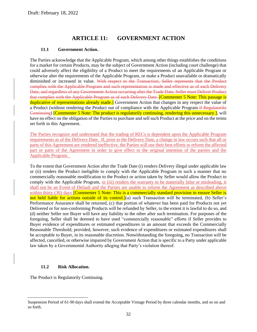## **ARTICLE 11: GOVERNMENT ACTION**

#### <span id="page-31-0"></span>**11.1 Government Action.**

<span id="page-31-1"></span>The Parties acknowledge that the Applicable Program, which among other things establishes the conditions for a market for certain Products, may be the subject of Government Action (including court challenge) that could adversely affect the eligibility of a Product to meet the requirements of an Applicable Program or otherwise alter the requirements of the Applicable Program, or make a Product unavailable or dramatically diminished or increased in value. With respect to the Transaction, Seller represents that the Product complies with the Applicable Program and such representation is made and effective as of each Delivery Date, and regardless of any Government Action occurring after the Trade Date, Seller must Deliver Product that complies with the Applicable Program as of each Delivery Date. [Commenter 5 Note: This passage is duplicative of representations already made.] Government Action that changes in any respect the value of a Product (without rendering the Product out of compliance with the Applicable Program if Regulatorily Continuing) [Commenter 5 Note: The product is regulatorily continuing, rendering this unnecessary.], will have no effect on the obligation of the Parties to purchase and sell such Product at the price and on the terms set forth in this Agreement.

The Parties recognize and understand that the trading of RECs is dependent upon the Applicable Program requirements as of the Delivery Date. If, prior to the Delivery Date, a change in law occurs such that all or parts of this Agreement are rendered ineffective, the Parties will use their best efforts to reform the affected part or parts of the Agreement in order to give effect to the original intention of the parties and the Applicable Program.

To the extent that Government Action after the Trade Date (i) renders Delivery illegal under applicable law or (ii) renders the Product ineligible to comply with the Applicable Program in such a manner that no commercially reasonable modification to the Product or action taken by Seller would allow the Product to comply with the Applicable Program, or (iii) renders the warranty to be materially false or misleading, it shall not be an Event of Default and the Parties are unable to reform the Agreement as described above within thirty (30) days **[Commenter 5 Note: This is a commercially standard provision to ensure Seller is** not held liable for actions outside of its control.](a) such Transaction will be terminated, (b) Seller's Performance Assurance shall be returned, (c) that portion of whatever has been paid for Products not yet Delivered or for non-conforming Products will be refunded by Seller, to the extent it is lawful to do so, and (d) neither Seller nor Buyer will have any liability to the other after such termination. For purposes of the foregoing, Seller shall be deemed to have used "commercially reasonable" efforts if Seller provides to Buyer evidence of expenditures or estimated expenditures in an amount that exceeds the Commercially Reasonable Threshold; provided, however, such evidence of expenditures or estimated expenditures shall be acceptable to Buyer, in its reasonable discretion. Notwithstanding the foregoing, no Transaction will be affected, cancelled, or otherwise impaired by Government Action that is specific to a Party under applicable law taken by a Governmental Authority alleging that Party's violation thereof.

#### **11.2 Risk Allocation.**

<span id="page-31-2"></span>The Product is Regulatorily Continuing.

Suspension Period of 61-90 days shall extend the Acceptable Vintage Period by three calendar months, and so on and so forth.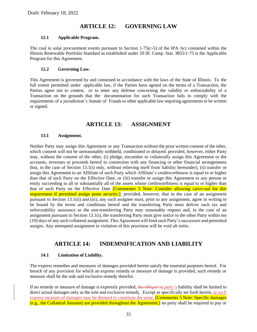# **ARTICLE 12: GOVERNING LAW**

#### <span id="page-32-0"></span>**12.1 Applicable Program.**

<span id="page-32-1"></span>The coal to solar procurement events pursuant to Section 1-75(c-5) of the IPA Act contained within the Illinois Renewable Portfolio Standard as established under 20 Ill. Comp. Stat. 3855/1-75 is the Applicable Program for this Agreement.

#### **12.2 Governing Law.**

<span id="page-32-2"></span>This Agreement is governed by and construed in accordance with the laws of the State of Illinois. To the full extent permitted under applicable law, if the Parties have agreed on the terms of a Transaction, the Parties agree not to contest, or to enter any defense concerning the validity or enforceability of a Transaction on the grounds that the documentation for such Transaction fails to comply with the requirements of a jurisdiction's Statute of Frauds or other applicable law requiring agreements to be written or signed.

## **ARTICLE 13: ASSIGNMENT**

#### <span id="page-32-3"></span>**13.1 Assignment.**

<span id="page-32-4"></span>Neither Party may assign this Agreement or any Transaction without the prior written consent of the other, which consent will not be unreasonably withheld, conditioned or delayed; provided, however, either Party may, without the consent of the other, (i) pledge, encumber or collaterally assign this Agreement or the accounts, revenues or proceeds hereof in connection with any financing or other financial arrangements (but, in the case of Section [13.1\(](#page-32-4)i) only, without relieving itself from liability hereunder), (ii) transfer or assign this Agreement to an Affiliate of such Party which Affiliate's creditworthiness is equal to or higher than that of such Party on the Effective Date, or (iii) transfer or assign this Agreement to any person or entity succeeding to all or substantially all of the assets whose creditworthiness is equal to or higher than that of such Party on the Effective Date *[Commenter 5 Note: Consider allowing carve-out for this* requirement if permitted assign posts security.]; provided, however, that in the case of an assignment pursuant to Section [13.1\(](#page-32-4)ii) and (iii), any such assignee must, prior to any assignment, agree in writing to be bound by the terms and conditions hereof and the transferring Party must deliver such tax and enforceability assurance as the non-transferring Party may reasonably request and, in the case of an assignment pursuant to Section [13.1\(](#page-32-4)i), the transferring Party must give notice to the other Party within ten (10) days of any such collateral assignment. This Agreement will bind each Party's successors and permitted assigns. Any attempted assignment in violation of this provision will be void *ab initio*.

## **ARTICLE 14: INDEMNIFICATION AND LIABILITY**

#### <span id="page-32-5"></span>**14.1 Limitation of Liability.**

<span id="page-32-6"></span>The express remedies and measures of damages provided herein satisfy the essential purposes hereof. For breach of any provision for which an express remedy or measure of damage is provided, such remedy or measure shall be the sole and exclusive remedy therefor.

If no remedy or measure of damage is expressly provided, the obligor's a party's liability shall be limited to direct actual damages only as the sole and exclusive remedy. Except as specifically set forth herein, or such express measure of damages may be deemed to constitute the same, **[Commenter 5 Note: Specific damages**] (e.g., the Collateral Amount) are provided throughout the Agreement.] no party shall be required to pay or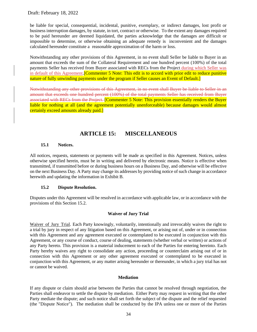be liable for special, consequential, incidental, punitive, exemplary, or indirect damages, lost profit or business interruption damages, by statute, in tort, contract or otherwise. To the extent any damages required to be paid hereunder are deemed liquidated, the parties acknowledge that the damages are difficult or impossible to determine, or otherwise obtaining an adequate remedy is inconvenient and the damages calculated hereunder constitute a reasonable approximation of the harm or loss.

Notwithstanding any other provisions of this Agreement, in no event shall Seller be liable to Buyer in an amount that exceeds the sum of the Collateral Requirement and one hundred percent (100%) of the total payments Seller has received from Buyer associated with RECs from the Project during which Seller was in default of this Agreement. **[Commenter 5 Note: This edit is to accord with prior edit to reduce punitive** nature of fully unwinding payments under the program if Seller causes an Event of Default.

Notwithstanding any other provisions of this Agreement, in no event shall Buyer be liable to Seller in an amount that exceeds one hundred percent (100%) of the total payments Seller has received from Buyer associated with RECs from the Project. [Commenter 5 Note: This provision essentially renders the Buyer liable for nothing at all (and the agreement potentially unenforceable) because damages would almost certainly exceed amounts already paid.]

## **ARTICLE 15: MISCELLANEOUS**

#### <span id="page-33-0"></span>**15.1 Notices.**

<span id="page-33-1"></span>All notices, requests, statements or payments will be made as specified in this Agreement. Notices, unless otherwise specified herein, must be in writing and delivered by electronic means. Notice is effective when transmitted, if transmitted before or during business hours on a Business Day, and otherwise will be effective on the next Business Day. A Party may change its addresses by providing notice of such change in accordance herewith and updating the information in Exhibit B.

#### **15.2 Dispute Resolution.**

<span id="page-33-2"></span>Disputes under this Agreement will be resolved in accordance with applicable law, or in accordance with the provisions of this Section [15.2.](#page-33-2)

#### **Waiver of Jury Trial**

Waiver of Jury Trial. Each Party knowingly, voluntarily, intentionally and irrevocably waives the right to a trial by jury in respect of any litigation based on this Agreement, or arising out of, under or in connection with this Agreement and any agreement executed or contemplated to be executed in conjunction with this Agreement, or any course of conduct, course of dealing, statements (whether verbal or written) or actions of any Party hereto. This provision is a material inducement to each of the Parties for entering hereinto. Each Party hereby waives any right to consolidate any action, proceeding or counterclaim arising out of or in connection with this Agreement or any other agreement executed or contemplated to be executed in conjunction with this Agreement, or any matter arising hereunder or thereunder, in which a jury trial has not or cannot be waived.

#### **Mediation**

If any dispute or claim should arise between the Parties that cannot be resolved through negotiation, the Parties shall endeavor to settle the dispute by mediation. Either Party may request in writing that the other Party mediate the dispute; and such notice shall set forth the subject of the dispute and the relief requested (the "Dispute Notice"). The mediation shall be conducted by the IPA unless one or more of the Parties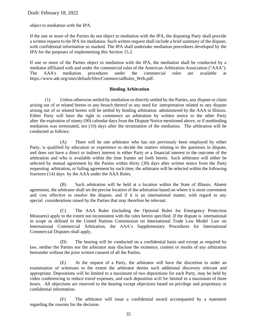object to mediation with the IPA.

If the one or more of the Parties do not object to mediation with the IPA, the disputing Party shall provide a written request to the IPA for mediation. Such written request shall include a brief summary of the dispute, with confidential information so marked. The IPA shall undertake mediation procedures developed by the IPA for the purposes of implementing this Section [15.2.](#page-33-2)

If one or more of the Parties object to mediation with the IPA, the mediation shall be conducted by a mediator affiliated with and under the commercial rules of the American Arbitration Association ("AAA"). The AAA's mediation procedures under the commercial rules are available at https://www.adr.org/sites/default/files/CommercialRules\_Web.pdf.

#### **Binding Arbitration**

(1) Unless otherwise settled by mediation or directly settled by the Parties, any dispute or claim arising out of or related hereto or any breach thereof or any need for interpretation related to any dispute arising out of or related hereto will be settled by binding arbitration administered by the AAA in Illinois. Either Party will have the right to commence an arbitration by written notice to the other Party after the expiration of ninety (90) calendar days from the Dispute Notice mentioned above, or if nonbinding mediation was terminated, ten (10) days after the termination of the mediation. The arbitration will be conducted as follows:

(A) There will be one arbitrator who has not previously been employed by either Party, is qualified by education or experience to decide the matters relating to the questions in dispute, and does not have a direct or indirect interest in either Party or a financial interest in the outcome of the arbitration and who is available within the time frames set forth herein. Such arbitrator will either be selected by mutual agreement by the Parties within thirty (30) days after written notice from the Party requesting arbitration, or failing agreement by such time, the arbitrator will be selected within the following fourteen (14) days by the AAA under the AAA Rules.

(B) Such arbitration will be held at a location within the State of Illinois. Absent agreement, the arbitrator shall set the precise location of the arbitration based on where it is most convenient and cost effective to resolve the dispute, and if it is an international matter, with regard to any special considerations raised by the Parties that may therefore be relevant.

(C) The AAA Rules (including the Optional Rules for Emergency Protection Measures) apply to the extent not inconsistent with the rules herein specified. If the dispute is international in scope as defined in the United Nations Commission on International Trade Law Model Law on International Commercial Arbitration, the AAA's Supplementary Procedures for International Commercial Disputes shall apply.

(D) The hearing will be conducted on a confidential basis and except as required by law, neither the Parties nor the arbitrator may disclose the existence, content or results of any arbitration hereunder without the prior written consent of all the Parties.

(E) At the request of a Party, the arbitrator will have the discretion to order an examination of witnesses to the extent the arbitrator deems such additional discovery relevant and appropriate. Depositions will be limited to a maximum of two depositions for each Party, may be held by video conferencing to reduce travel expenses, and each deposition will be limited to a maximum of three hours. All objections are reserved to the hearing except objections based on privilege and proprietary or confidential information.

(F) The arbitrator will issue a confidential award accompanied by a statement regarding the reasons for the decision.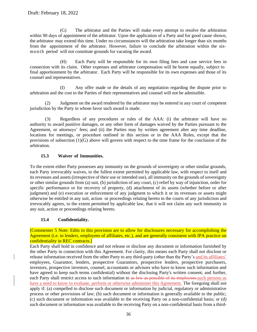(G) The arbitrator and the Parties will make every attempt to resolve the arbitration within 90 days of appointment of the arbitrator. Upon the application of a Party and for good cause shown, the arbitrator may extend this time. Under no circumstances will the arbitration take longer than six months from the appointment of the arbitrator. However, failure to conclude the arbitration within the sixmonth period will not constitute grounds for vacating the award.

(H) Each Party will be responsible for its own filing fees and case service fees in connection with its claim. Other expenses and arbitrator compensation will be borne equally, subject to final apportionment by the arbitrator. Each Party will be responsible for its own expenses and those of its counsel and representatives.

(I) Any offer made or the details of any negotiation regarding the dispute prior to arbitration and the cost to the Parties of their representatives and counsel will not be admissible.

(2) Judgment on the award rendered by the arbitrator may be entered in any court of competent jurisdiction by the Party in whose favor such award is made.

(3) Regardless of any procedures or rules of the AAA: (i) the arbitrator will have no authority to award punitive damages, or any other form of damages waived by the Parties pursuant to the Agreement, or attorneys' fees; and (ii) the Parties may by written agreement alter any time deadline, locations for meetings, or procedure outlined in this section or in the AAA Rules, except that the provisions of subsection  $(1)(G)$  above will govern with respect to the time frame for the conclusion of the arbitration.

## **15.3 Waiver of Immunities.**

<span id="page-35-0"></span>To the extent either Party possesses any immunity on the grounds of sovereignty or other similar grounds, each Party irrevocably waives, to the fullest extent permitted by applicable law, with respect to itself and its revenues and assets (irrespective of their use or intended use), all immunity on the grounds ofsovereignty or other similar grounds from (a) suit, (b) jurisdiction of any court, (c) relief by way of injunction, order for specific performance or for recovery of property, (d) attachment of its assets (whether before or after judgment) and (e) execution or enforcement of any judgment to which it or its revenues or assets might otherwise be entitled in any suit, action or proceedings relating hereto in the courts of any jurisdiction and irrevocably agrees, to the extent permitted by applicable law, that it will not claim any such immunity in any suit, action or proceedings relating hereto.

#### **15.4 Confidentiality.**

<span id="page-35-1"></span>[Commenter 5 Note: Edits to this provision are to allow for disclosures necessary for accomplishing the Agreement (i.e. to lenders, employees of affiliates, etc.), and are generally consistent with IPA practice on confidentiality in REC contracts.]

Each Party shall hold in confidence and not release or disclose any document or information furnished by the other Party in connection with this Agreement. For clarity, this means each Party shall not disclose or release information received from the other Party to any third-party (other than the Party's and its affiliates' employees, Guarantor, lenders, prospective Guarantors, prospective lenders, prospective purchasers, investors, prospective investors, counsel, accountants or advisors who have to know such information and have agreed to keep such terms confidential) without the disclosing Party's written consent; and further, each Party shall restrict access to such information to as few as possible of its employees. such persons as have a need to know to evaluate, perform or otherwise administer this Agreement. The foregoing shall not apply if: (a) compelled to disclose such document or information by judicial, regulatory or administrative process or other provisions of law; (b) such document or information is generally available to the public; (c) such document or information was available to the receiving Party on a non-confidential basis; or (d) such document or information was available to the receiving Party on a non-confidential basis from a third-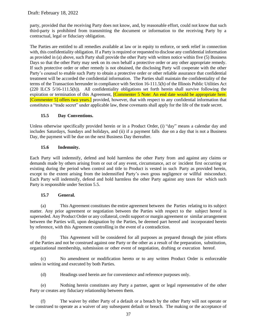party, provided that the receiving Party does not know, and, by reasonable effort, could not know that such third-party is prohibited from transmitting the document or information to the receiving Party by a contractual, legal or fiduciary obligation.

The Parties are entitled to all remedies available at law or in equity to enforce, or seek relief in connection with, this confidentiality obligation. If a Party is required or requested to disclose any confidential information as provided in (a) above, such Party shall provide the other Party with written notice within five (5) Business Days so that the other Party may seek on its own behalf a protective order or any other appropriate remedy. If such protective order or other remedy is not obtained, the disclosing Party will cooperate with the other Party's counsel to enable such Party to obtain a protective order or other reliable assurance that confidential treatment will be accorded the confidential information. The Parties shall maintain the confidentiality of the terms of the Transaction hereunder in compliance with Section 16-111.5(h) of the Illinois Public Utilities Act (220 ILCS 5/16-111.5(h)). All confidentiality obligations set forth herein shall survive following the expiration or termination of this Agreement, **[Commenter 5 Note: An end date would be appropriate here.** [Commenter 5] offers two years.] provided, however, that with respect to any confidential information that constitutes a "trade secret" under applicable law, these covenants shall apply for the life of the trade secret.

#### **15.5 Day Conventions.**

<span id="page-36-0"></span>Unless otherwise specifically provided herein or in a Product Order, (i) "day" means a calendar day and includes Saturdays, Sundays and holidays, and (ii) if a payment falls due on a day that is not a Business Day, the payment will be due on the next Business Day thereafter.

#### **15.6 Indemnity.**

<span id="page-36-1"></span>Each Party will indemnify, defend and hold harmless the other Party from and against any claims or demands made by others arising from or out of any event, circumstance, act or incident first occurring or existing during the period when control and title to Product is vested in such Party as provided herein, except to the extent arising from the indemnified Party's own gross negligence or willful misconduct. Each Party will indemnify, defend and hold harmless the other Party against any taxes for which such Party is responsible under Section [5.5.](#page-20-1)

#### **15.7 General.**

<span id="page-36-2"></span>(a) This Agreement constitutes the entire agreement between the Parties relating to its subject matter. Any prior agreement or negotiation between the Parties with respect to the subject hereof is superseded. Any Product Order or any collateral, credit support or margin agreement or similar arrangement between the Parties will, upon designation by the Parties, be deemed part hereof and incorporated herein by reference, with this Agreement controlling in the event of a contradiction.

(b) This Agreement will be considered for all purposes as prepared through the joint efforts of the Parties and not be construed against one Party or the other as a result of the preparation, substitution, organizational membership, submission or other event of negotiation, drafting or execution hereof.

(c) No amendment or modification hereto or to any written Product Order is enforceable unless in writing and executed by both Parties.

(d) Headings used herein are for convenience and reference purposes only.

(e) Nothing herein constitutes any Party a partner, agent or legal representative of the other Party or creates any fiduciary relationship between them.

(f) The waiver by either Party of a default or a breach by the other Party will not operate or be construed to operate as a waiver of any subsequent default or breach. The making or the acceptance of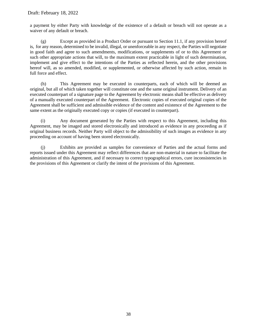a payment by either Party with knowledge of the existence of a default or breach will not operate as a waiver of any default or breach.

(g) Except as provided in a Product Order or pursuant to Section [11.1,](#page-31-1) if any provision hereof is, for any reason, determined to be invalid, illegal, or unenforceable in any respect, the Parties will negotiate in good faith and agree to such amendments, modifications, or supplements of or to this Agreement or such other appropriate actions that will, to the maximum extent practicable in light of such determination, implement and give effect to the intentions of the Parties as reflected herein, and the other provisions hereof will, as so amended, modified, or supplemented, or otherwise affected by such action, remain in full force and effect.

(h) This Agreement may be executed in counterparts, each of which will be deemed an original, but all of which taken together will constitute one and the same original instrument. Delivery of an executed counterpart of a signature page to the Agreement by electronic means shall be effective as delivery of a manually executed counterpart of the Agreement. Electronic copies of executed original copies of the Agreement shall be sufficient and admissible evidence of the content and existence of the Agreement to the same extent as the originally executed copy or copies (if executed in counterpart).

(i) Any document generated by the Parties with respect to this Agreement, including this Agreement, may be imaged and stored electronically and introduced as evidence in any proceeding as if original business records. Neither Party will object to the admissibility of such images as evidence in any proceeding on account of having been stored electronically.

(j) Exhibits are provided as samples for convenience of Parties and the actual forms and reports issued under this Agreement may reflect differences that are non-material in nature to facilitate the administration of this Agreement, and if necessary to correct typographical errors, cure inconsistencies in the provisions of this Agreement or clarify the intent of the provisions of this Agreement.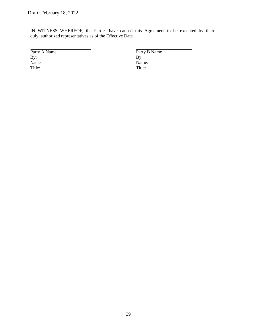IN WITNESS WHEREOF, the Parties have caused this Agreement to be executed by their duly authorized representatives as of the Effective Date.

Party A Name Party B Name By:  $\overline{P}$  Party B Name By: By: By: Name: Name: Title: Title: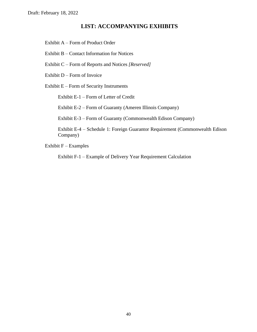## **LIST: ACCOMPANYING EXHIBITS**

<span id="page-39-0"></span>Exhibit A – Form of Product Order

Exhibit B – Contact Information for Notices

Exhibit C – Form of Reports and Notices *[Reserved]*

Exhibit D – Form of Invoice

Exhibit E – Form of Security Instruments

Exhibit E-1 – Form of Letter of Credit

Exhibit E-2 – Form of Guaranty (Ameren Illinois Company)

Exhibit E-3 – Form of Guaranty (Commonwealth Edison Company)

Exhibit E-4 – Schedule 1: Foreign Guarantor Requirement (Commonwealth Edison Company)

Exhibit  $F -$ Examples

Exhibit F-1 – Example of Delivery Year Requirement Calculation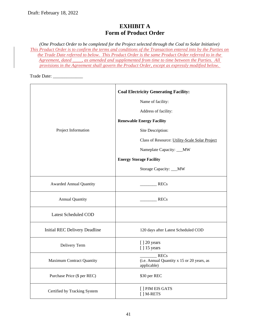# **EXHIBIT A Form of Product Order**

<span id="page-40-0"></span>*(One Product Order to be completed for the Project selected through the Coal to Solar Initiative) This Product Order is to confirm the terms and conditions of the Transaction entered into by the Parties on the Trade Date referred to below. This Product Order is the same Product Order referred to in the Agreement, dated \_\_\_\_, as amended and supplemented from time to time between the Parties. All provisions in the Agreement shall govern the Product Order, except as expressly modified below.* 

Trade Date: \_\_\_\_\_\_\_\_\_\_\_\_\_

|                                      | <b>Coal Electricity Generating Facility:</b>                             |
|--------------------------------------|--------------------------------------------------------------------------|
|                                      | Name of facility:                                                        |
|                                      | Address of facility:                                                     |
|                                      | <b>Renewable Energy Facility</b>                                         |
| Project Information                  | Site Description:                                                        |
|                                      | Class of Resource: Utility-Scale Solar Project                           |
|                                      | Nameplate Capacity: ___MW                                                |
|                                      | <b>Energy Storage Facility</b>                                           |
|                                      | Storage Capacity: __MW                                                   |
| <b>Awarded Annual Quantity</b>       | <b>RECs</b>                                                              |
| <b>Annual Quantity</b>               | RECs                                                                     |
| <b>Latest Scheduled COD</b>          |                                                                          |
| <b>Initial REC Delivery Deadline</b> | 120 days after Latest Scheduled COD                                      |
| Delivery Term                        | [] 20 years<br>[] 15 years                                               |
| <b>Maximum Contract Quantity</b>     | <b>RECs</b><br>(i.e. Annual Quantity x 15 or 20 years, as<br>applicable) |
| Purchase Price (\$ per REC)          | \$30 per REC                                                             |
| Certified by Tracking System         | [ ] PJM EIS GATS<br>[] M-RETS                                            |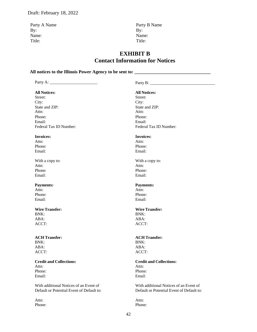Party A Name Party B Name By: By: Name: Name: Title: Title:

## **EXHIBIT B Contact Information for Notices**

<span id="page-41-0"></span>All notices to the Illinois Power Agency to be sent to:

Party A: \_\_\_\_\_\_\_\_\_\_\_\_\_\_\_\_\_\_\_\_\_\_\_ Party B: \_\_\_\_\_\_\_\_\_\_\_\_\_\_\_\_\_\_\_\_\_\_\_\_\_\_\_\_\_\_\_ **All Notices: All Notices:** Street: Street: City: City: State and ZIP: State and ZIP: Attn: Attn: Attn: Attn: Attn: Attn: Attn: Attn: Attn: Attn: Attn: Attn: Attn: Attn: Attn: Attn: Attn: Attn: Attn: Attn: Attn: Attn: Attn: Attn: Attn: Attn: Attn: Attn: Attn: Attn: Attn: Attn: Attn: Attn: Attn: Attn: Attn: Phone: Phone: Email: Email: Federal Tax ID Number: Federal Tax ID Number: **Invoices: Invoices:** Attn: Attn: Attn: Attn: Attn: Attn: Attn: Attn: Attn: Attn: Attn: Attn: Attn: Attn: Attn: Attn: Attn: Attn: Attn: Attn: Attn: Attn: Attn: Attn: Attn: Attn: Attn: Attn: Attn: Attn: Attn: Attn: Attn: Attn: Attn: Attn: Attn: Phone: Phone: Email: Email: With a copy to: With a copy to: Attn: Attn: Attn: Attn: Attn: Attn: Attn: Attn: Attn: Attn: Attn: Attn: Attn: Attn: Attn: Attn: Attn: Attn: Attn: Attn: Attn: Attn: Attn: Attn: Attn: Attn: Attn: Attn: Attn: Attn: Attn: Attn: Attn: Attn: Attn: Attn: Attn: Phone: Phone: Email: Email: **Payments: Payments:** Attn: Attn: Attn: Attn: Attn: Attn: Attn: Attn: Attn: Attn: Attn: Attn: Attn: Attn: Attn: Attn: Attn: Attn: Attn: Attn: Attn: Attn: Attn: Attn: Attn: Attn: Attn: Attn: Attn: Attn: Attn: Attn: Attn: Attn: Attn: Attn: Attn: Phone: Phone: Email: Email: **Wire Transfer: Wire Transfer:** BNK: BNK: ABA: ABA: ACCT: ACCT: **ACH Transfer: ACH Transfer:** BNK: BNK: ABA: ABA: ACCT: ACCT: **Credit and Collections: Credit and Collections:** Attn: Attn: Attn: Attn: Attn: Attn: Attn: Attn: Attn: Attn: Attn: Attn: Attn: Attn: Attn: Attn: Attn: Attn: Attn: Attn: Attn: Attn: Attn: Attn: Attn: Attn: Attn: Attn: Attn: Attn: Attn: Attn: Attn: Attn: Attn: Attn: Attn: Phone: Phone: Email: Email: With additional Notices of an Event of Default or Potential Event of Default to: With additional Notices of an Event of Default or Potential Event of Default to:

Attn: Attn: Attn: Attn: Attn: Attn: Attn: Attn: Attn: Attn: Attn: Attn: Attn: Attn: Attn: Attn: Attn: Attn: Attn: Attn: Attn: Attn: Attn: Attn: Attn: Attn: Attn: Attn: Attn: Attn: Attn: Attn: Attn: Attn: Attn: Attn: Attn: Phone: Phone: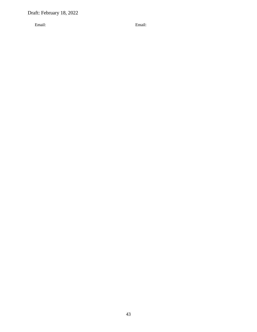Email: Email: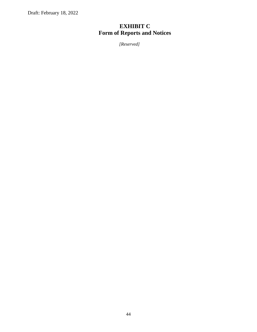# <span id="page-43-0"></span>**EXHIBIT C Form of Reports and Notices**

*[Reserved]*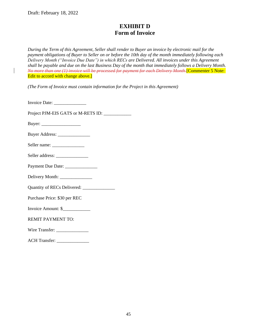# **EXHIBIT D Form of Invoice**

<span id="page-44-0"></span>*During the Term of this Agreement, Seller shall render to Buyer an invoice by electronic mail for the payment obligations of Buyer to Seller on or before the 10th day of the month immediately following each Delivery Month ("Invoice Due Date") in which RECs are Delivered. All invoices under this Agreement shall be payable and due on the last Business Day of the month that immediately follows a Delivery Month. No more than one (1) invoice will be processed for payment for each Delivery Month.*[Commenter 5 Note: Edit to accord with change above.]

*(The Form of Invoice must contain information for the Project in this Agreement)*

Invoice Date: \_\_\_\_\_\_\_\_\_\_\_\_\_\_

Project PJM-EIS GATS or M-RETS ID: \_\_\_\_\_\_\_\_\_\_\_\_

Buyer: \_\_\_\_\_\_\_\_\_\_\_\_\_\_\_\_\_

| <b>Buyer Address:</b> |  |
|-----------------------|--|
|-----------------------|--|

| Seller name: |  |
|--------------|--|
|--------------|--|

Seller address: \_\_\_\_\_\_\_\_\_\_\_\_\_\_

| <b>Payment Due Date:</b> |  |  |
|--------------------------|--|--|
|                          |  |  |

Delivery Month: \_\_\_\_\_\_\_\_\_\_\_\_\_\_

Quantity of RECs Delivered: \_\_\_\_\_\_\_\_\_\_\_\_\_\_

Purchase Price: \$30 per REC

Invoice Amount: \$\_\_\_\_\_\_\_\_\_\_\_\_

REMIT PAYMENT TO:

Wire Transfer:

ACH Transfer: \_\_\_\_\_\_\_\_\_\_\_\_\_\_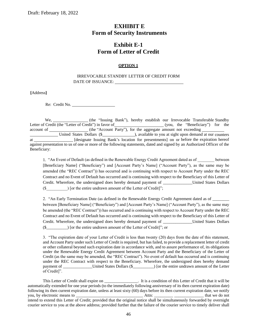## <span id="page-45-0"></span>**EXHIBIT E Form of Security Instruments**

# **Exhibit E-1 Form of Letter of Credit**

#### **OPTION 1**

#### IRREVOCABLE STANDBY LETTER OF CREDIT FORM DATE OF ISSUANCE:

**[**Address**]**

Re: Credit No.

We, (the "Issuing Bank"), hereby establish our Irrevocable Transferable Standby<br>Letter of Credit (the "Letter of Credit") in favor of (you, the "Beneficiary") for the Letter of Credit (the "Beneficiary") for the  $\alpha$ account of (the "Account Party"), for the aggregate amount not exceeding United States Dollars (\$ ), available to you at sight upon demand at our counters at \_\_\_\_\_\_\_\_\_\_\_\_\_\_\_ [designate Issuing Bank's location for presentments] on or before the expiration hereof against presentation to us of one or more of the following statements, dated and signed by an Authorized Officer of the Beneficiary:

1. "An Event of Default (as defined in the Renewable Energy Credit Agreement dated as of between [Beneficiary Name] ("Beneficiary") and [Account Party's Name] ("Account Party"), as the same may be amended (the "REC Contract")) has occurred and is continuing with respect to Account Party under the REC Contract and no Event of Default has occurred and is continuing with respect to the Beneficiary of this Letter of Credit. Wherefore, the undersigned does hereby demand payment of The United States Dollars (\$\_\_\_\_\_\_\_\_\_\_) [or the entire undrawn amount of the Letter of Credit]";

2. "An Early Termination Date (as defined in the Renewable Energy Credit Agreement dated as of between [Beneficiary Name] ("Beneficiary") and [Account Party's Name] ("Account Party"), as the same may be amended (the "REC Contract")) has occurred and is continuing with respect to Account Party under the REC Contract and no Event of Default has occurred and is continuing with respect to the Beneficiary of this Letter of Credit. Wherefore, the undersigned does hereby demand payment of \_\_\_\_\_\_\_\_\_\_\_\_\_\_United States Dollars (\$\_\_\_\_\_\_\_\_\_\_) [or the entire undrawn amount of the Letter of Credit]"; or

3. "The expiration date of your Letter of Credit is less than twenty (20) days from the date of this statement, and Account Party under such Letter of Credit is required, but has failed, to provide a replacement letter of credit or other collateral beyond such expiration date in accordance with, and to assure performance of, its obligations under the Renewable Energy Credit Agreement between Account Party and the Beneficiary of the Letter of Credit (as the same may be amended, the "REC Contract"). No event of default has occurred and is continuing under the REC Contract with respect to the Beneficiary. Wherefore, the undersigned does hereby demand payment of \_\_\_\_\_\_\_\_\_\_\_\_\_\_United States Dollars (\$\_\_\_\_\_\_\_\_\_\_) [or the entire undrawn amount of the Letter of Credit]".

This Letter of Credit shall expire on \_\_\_\_\_\_\_\_\_\_\_\_\_\_. It is a condition of this Letter of Credit that it will be automatically extended for one year periods (to the immediately following anniversary of its then current expiration date) following its then current expiration date, unless at least sixty (60) days before its then current expiration date, we notify you, by electronic means to \_\_\_\_\_\_\_\_\_\_\_\_\_\_\_\_\_\_\_\_\_\_\_\_\_\_\_\_\_\_\_\_ Attn: \_\_\_\_\_\_\_\_\_ \_\_\_\_\_\_\_\_\_\_\_\_\_\_ that we do not intend to extend this Letter of Credit; provided that the original notice shall be simultaneously forwarded by overnight courier service to you at the above address; provided further that the failure of the courier service to timely deliver shall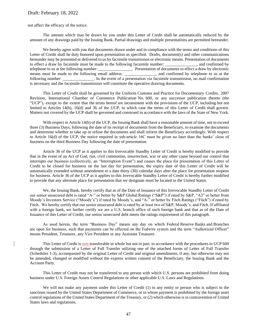not affect the efficacy of the notice.

The amount which may be drawn by you under this Letter of Credit shall be automatically reduced by the amount of any drawings paid by the Issuing Bank. Partial drawings and multiple presentations are permitted hereunder.

We hereby agree with you that documents drawn under and in compliance with the terms and conditions of this Letter of Credit shall be duly honored upon presentation as specified. Drafts, document(s) and other communications hereunder may be presented or delivered to us by facsimile transmission or electronic means. Presentation of documents to effect a draw by facsimile must be made to the following facsimile number: \_\_\_\_\_\_\_\_\_\_\_\_\_\_\_, and confirmed by telephone to us at the following number: \_\_\_\_\_\_\_\_\_\_\_\_\_\_\_\_. Presentation of documents to effect a draw by electronic means must be made to the following email address: \_\_\_\_\_\_\_\_\_\_\_\_\_, and confirmed by telephone to us at the following number: \_\_\_\_\_\_\_\_\_\_\_\_\_\_\_. In the event of a presentation via facsimile transmission, no mail confirmation is necessary and the facsimile transmission will constitute the operative drawing documents.

This Letter of Credit shall be governed by the Uniform Customs and Practice for Documentary Credits, 2007 Revision, International Chamber of Commerce Publication No. 600, or any successor publication thereto (the "UCP"), except to the extent that the terms hereof are inconsistent with the provisions of the UCP, including but not limited to Articles 14(b), 16(d) and 36 of the UCP, in which case the terms of this Letter of Credit shall govern. Matters not covered by the UCP shall be governed and construed in accordance with the laws of the State of New York.

With respect to Article 14(b) of the UCP, the Issuing Bank shall have a reasonable amount of time, not to exceed three (3) Business Days, following the date of its receipt of documents from the Beneficiary, to examine the documents and determine whether to take up or refuse the documents and shall inform the Beneficiary accordingly. With respect to Article 16(d) of the UCP, the notice required in sub-article 16C must be given no later than the banks' close of business on the third Business Day following the date of presentation.

Article 36 of the UCP as it applies to this Irrevocable Standby Letter of Credit is hereby modified to provide that in the event of an Act of God, riot, civil commotion, insurrection, war or any other cause beyond our control that interrupts our business (collectively, an "Interruption Event") and causes the place for presentation of this Letter of Credit to be closed for business on the last day for presentation, the expiry date of this Letter of Credit will be automatically extended without amendment to a date thirty (30) calendar days after the place for presentation reopens for business. Article 36 of the UCP as it applies to this Irrevocable Standby Letter of Credit is hereby further modified to provide that any alternate place for presentation that we designate must be located in the United States.

We, the Issuing Bank, hereby certify that as of the Date of Issuance of this Irrevocable Standby Letter of Credit our senior unsecured debt is rated "A-" or better by S&P Global Ratings ("S&P") if rated by S&P, "A3" or better from Moody's Investors Service ("Moody's") if rated by Moody's, and "A-" or better by Fitch Ratings ("Fitch") if rated by Fitch. We hereby certify that our senior unsecured debt is rated by at least two of S&P, Moody's, and Fitch. If affiliated with a foreign bank, we further certify we are a U.S. branch office of such foreign bank and that as of the Date of Issuance of this Letter of Credit, our senior unsecured debt meets the ratings requirement of this paragraph.

As used herein, the term "Business Day" means any day on which Federal Reserve Banks and Branches are open for business, such that payments can be effected on the Fedwire system and the term "Authorized Officer" means President, Treasurer, any Vice President or any Assistant Treasurer.

This Letter of Credit is non-transferable in whole but not in part, in accordance with the procedures in UCP 600 through the submission of a Letter of Full Transfer utilizing one of the attached forms of Letter of Full Transfer (Schedules 1-3), accompanied by the original Letter of Credit and original amendments, if any, but otherwise may not be amended, changed or modified without the express written consent of the Beneficiary, the Issuing Bank and the Account Party.

This Letter of Credit may not be transferred to any person with which U.S. persons are prohibited from doing business under U.S. Foreign Assets Control Regulations or other applicable U.S. Laws and Regulations.

We will not make any payment under this Letter of Credit (1) to any entity or person who is subject to the sanctions issued by the United States Department of Commerce, or to whom payment is prohibited by the foreign asset control regulations of the United States Department of the Treasury, or (2) which otherwise is in contravention of United States laws and regulations.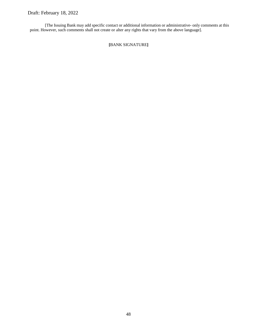[The Issuing Bank may add specific contact or additional information or administrative- only comments at this point. However, such comments shall not create or alter any rights that vary from the above language].

**[**BANK SIGNATURE**]**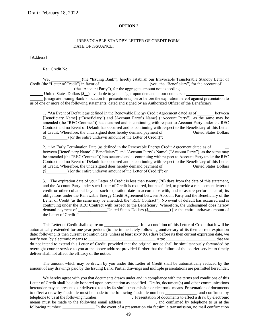#### **OPTION 2**

#### IRREVOCABLE STANDBY LETTER OF CREDIT FORM DATE OF ISSUANCE:

**[**Address**]**

Re: Credit No.

We, (the "Issuing Bank"), hereby establish our Irrevocable Transferable Standby Letter of Credit (the "Letter of Credit") in favor of (you, the "Beneficiary") for the account of (the "Account Party"), for the aggregate amount not exceeding

United States Dollars (\$ ), available to you at sight upon demand at our counters at

[designate Issuing Bank's location for presentments] on or before the expiration hereof against presentation to us of one or more of the following statements, dated and signed by an Authorized Officer of the Beneficiary:

1. "An Event of Default (as defined in the Renewable Energy Credit Agreement dated as of between [Beneficiary Name] ("Beneficiary") and [Account Party's Name] ("Account Party"), as the same may be amended (the "REC Contract")) has occurred and is continuing with respect to Account Party under the REC Contract and no Event of Default has occurred and is continuing with respect to the Beneficiary of this Letter of Credit. Wherefore, the undersigned does hereby demand payment of \_\_\_\_\_\_\_\_\_\_\_\_\_\_United States Dollars  $(\$$  ) [or the entire undrawn amount of the Letter of Credit]";

2. "An Early Termination Date (as defined in the Renewable Energy Credit Agreement dated as of between [Beneficiary Name] ("Beneficiary") and [Account Party's Name] ("Account Party"), as the same may be amended (the "REC Contract")) has occurred and is continuing with respect to Account Party under the REC Contract and no Event of Default has occurred and is continuing with respect to the Beneficiary of this Letter of Credit. Wherefore, the undersigned does hereby demand payment of \_\_\_\_\_\_\_\_\_\_\_\_\_\_United States Dollars  $(\$$  ) [or the entire undrawn amount of the Letter of Credit]"; or

3. "The expiration date of your Letter of Credit is less than twenty (20) days from the date of this statement, and the Account Party under such Letter of Credit is required, but has failed, to provide a replacement letter of credit or other collateral beyond such expiration date in accordance with, and to assure performance of, its obligations under the Renewable Energy Credit Agreement between Account Party and the Beneficiary of the Letter of Credit (as the same may be amended, the "REC Contract"). No event of default has occurred and is continuing under the REC Contract with respect to the Beneficiary. Wherefore, the undersigned does hereby demand payment of \_\_\_\_\_\_\_\_\_\_\_\_\_\_\_\_\_United States Dollars (\$\_\_\_\_\_\_\_\_\_\_\_) [or the entire undrawn amount of the Letter of Credit]".

This Letter of Credit shall expire on \_\_\_\_\_\_\_\_\_\_\_\_\_\_\_. It is a condition of this Letter of Credit that it will be automatically extended for one year periods (to the immediately following anniversary of its then current expiration date) following its then current expiration date, unless at least sixty (60) days before its then current expiration date, we notify you, by electronic means to \_\_\_\_\_\_\_\_\_\_\_\_\_\_\_\_\_\_\_\_\_\_\_\_\_\_\_\_\_\_\_\_ Attn: \_\_\_\_\_\_\_\_\_ \_\_\_\_\_\_\_\_\_\_\_\_\_\_ that we do not intend to extend this Letter of Credit; provided that the original notice shall be simultaneously forwarded by overnight courier service to you at the above address; provided further that the failure of the courier service to timely deliver shall not affect the efficacy of the notice.

The amount which may be drawn by you under this Letter of Credit shall be automatically reduced by the amount of any drawings paid by the Issuing Bank. Partial drawings and multiple presentations are permitted hereunder.

We hereby agree with you that documents drawn under and in compliance with the terms and conditions of this Letter of Credit shall be duly honored upon presentation as specified. Drafts, document(s) and other communications hereunder may be presented or delivered to us by facsimile transmission or electronic means. Presentation of documents to effect a draw by facsimile must be made to the following facsimile number: \_\_\_\_\_\_\_\_\_\_\_\_\_\_\_, and confirmed by telephone to us at the following number: \_\_\_\_\_\_\_\_\_\_\_\_\_\_\_\_. Presentation of documents to effect a draw by electronic means must be made to the following email address: \_\_\_\_\_\_\_\_\_\_\_\_\_, and confirmed by telephone to us at the following number: \_\_\_\_\_\_\_\_\_\_\_\_\_\_\_. In the event of a presentation via facsimile transmission, no mail confirmation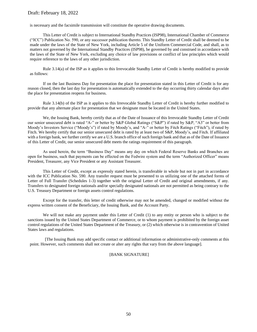is necessary and the facsimile transmission will constitute the operative drawing documents.

This Letter of Credit is subject to International Standby Practices (ISP98), International Chamber of Commerce ("ICC") Publication No. 590, or any successor publication thereto. This Standby Letter of Credit shall be deemed to be made under the laws of the State of New York, including Article 5 of the Uniform Commercial Code, and shall, as to matters not governed by the International Standby Practices (ISP98), be governed by and construed in accordance with the laws of the State of New York, excluding any choice of law provisions or conflict of law principles which would require reference to the laws of any other jurisdiction.

Rule 3.14(a) of the ISP as it applies to this Irrevocable Standby Letter of Credit is hereby modified to provide as follows:

If on the last Business Day for presentation the place for presentation stated in this Letter of Credit is for any reason closed, then the last day for presentation is automatically extended to the day occurring thirty calendar days after the place for presentation reopens for business.

Rule 3.14(b) of the ISP as it applies to this Irrevocable Standby Letter of Credit is hereby further modified to provide that any alternate place for presentation that we designate must be located in the United States.

We, the Issuing Bank, hereby certify that as of the Date of Issuance of this Irrevocable Standby Letter of Credit our senior unsecured debt is rated "A-" or better by S&P Global Ratings ("S&P") if rated by S&P, "A3" or better from Moody's Investors Service ("Moody's") if rated by Moody's, and "A-" or better by Fitch Ratings ("Fitch"), if rated by Fitch. We hereby certify that our senior unsecured debt is rated by at least two of S&P, Moody's, and Fitch. If affiliated with a foreign bank, we further certify we are a U.S. branch office of such foreign bank and that as of the Date of Issuance of this Letter of Credit, our senior unsecured debt meets the ratings requirement of this paragraph.

As used herein, the term "Business Day" means any day on which Federal Reserve Banks and Branches are open for business, such that payments can be effected on the Fedwire system and the term "Authorized Officer" means President, Treasurer, any Vice President or any Assistant Treasurer.

This Letter of Credit, except as expressly stated herein, is transferable in whole but not in part in accordance with the ICC Publication No. 590. Any transfer request must be presented to us utilizing one of the attached forms of Letter of Full Transfer (Schedules 1-3) together with the original Letter of Credit and original amendments, if any. Transfers to designated foreign nationals and/or specially designated nationals are not permitted as being contrary to the U.S. Treasury Department or foreign assets control regulations.

Except for the transfer, this letter of credit otherwise may not be amended, changed or modified without the express written consent of the Beneficiary, the Issuing Bank, and the Account Party.

We will not make any payment under this Letter of Credit (1) to any entity or person who is subject to the sanctions issued by the United States Department of Commerce, or to whom payment is prohibited by the foreign asset control regulations of the United States Department of the Treasury, or (2) which otherwise is in contravention of United States laws and regulations.

[The Issuing Bank may add specific contact or additional information or administrative-only comments at this point. However, such comments shall not create or alter any rights that vary from the above language].

#### [BANK SIGNATURE]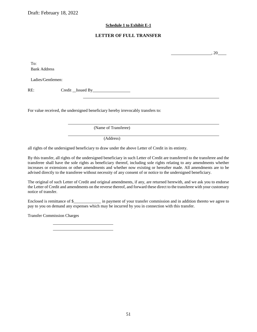#### **Schedule 1 to Exhibit E-1**

### **LETTER OF FULL TRANSFER**

, 20

To: Bank Address

Ladies/Gentlemen:

RE: Credit Issued By

For value received, the undersigned beneficiary hereby irrevocably transfers to:

(Name of Transferee)

(Address)

all rights of the undersigned beneficiary to draw under the above Letter of Credit in its entirety.

By this transfer, all rights of the undersigned beneficiary in such Letter of Credit are transferred to the transferee and the transferee shall have the sole rights as beneficiary thereof, including sole rights relating to any amendments whether increases or extensions or other amendments and whether now existing or hereafter made. All amendments are to be advised directly to the transferee without necessity of any consent of or notice to the undersigned beneficiary.

The original of such Letter of Credit and original amendments, if any, are returned herewith, and we ask you to endorse the Letter of Credit and amendments on the reverse thereof, and forward these direct to the transferee with your customary notice of transfer.

Enclosed is remittance of \$\_\_\_\_\_\_\_\_\_\_\_\_\_ in payment of your transfer commission and in addition thereto we agree to pay to you on demand any expenses which may be incurred by you in connection with this transfer.

Transfer Commission Charges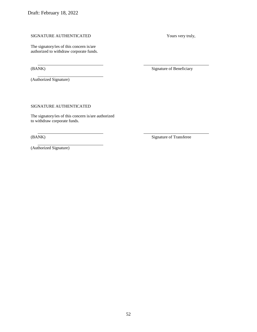#### SIGNATURE AUTHENTICATED Yours very truly,

The signatory/ies of this concern is/are authorized to withdraw corporate funds.

(Authorized Signature)

(BANK) Signature of Beneficiary

SIGNATURE AUTHENTICATED

The signatory/ies of this concern is/are authorized to withdraw corporate funds.

(BANK) Signature of Transferee

(Authorized Signature)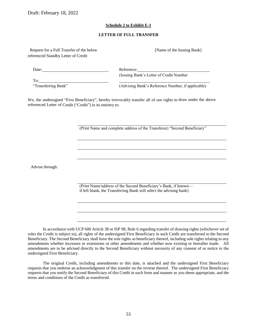#### **Schedule 2 to Exhibit E-1**

#### **LETTER OF FULL TRANSFER**

Request for a Full Transfer of the below [Name of the Issuing Bank] referenced Standby Letter of Credit

Date: Reference: (Issuing Bank's Letter of Credit Number To:

"Transferring Bank" (Advising Bank's Reference Number, if applicable)

We, the undersigned "First Beneficiary", hereby irrevocably transfer all of our rights to draw under the above referenced Letter of Credit ("Credit") in its entirety to:

(Print Name and complete address of the Transferee) "Second Beneficiary"

Advise through:

(Print Name/address of the Second Beneficiary's Bank, if known if left blank, the Transferring Bank will select the advising bank)

In accordance with UCP 600 Article 38 or ISP 98, Rule 6 regarding transfer of drawing rights (whichever set of rules the Credit is subject to), all rights of the undersigned First Beneficiary in such Credit are transferred to the Second Beneficiary. The Second Beneficiary shall have the sole rights as beneficiary thereof, including sole rights relating to any amendments whether increases or extensions or other amendments and whether now existing or hereafter made. All amendments are to be advised directly to the Second Beneficiary without necessity of any consent of or notice to the undersigned First Beneficiary.

The original Credit, including amendments to this date, is attached and the undersigned First Beneficiary requests that you endorse an acknowledgment of this transfer on the reverse thereof. The undersigned First Beneficiary requests that you notify the Second Beneficiary of this Credit in such form and manner as you deem appropriate, and the terms and conditions of the Credit as transferred.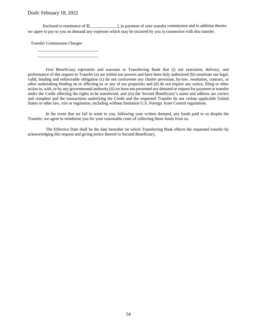Enclosed is remittance of \$[\_\_\_\_\_\_\_\_\_\_\_\_\_]\_in payment of your transfer commission and in addition thereto we agree to pay to you on demand any expenses which may be incurred by you in connection with this transfer.

Transfer Commission Charges

First Beneficiary represents and warrants to Transferring Bank that (i) our execution, delivery, and performance of this request to Transfer (a) are within our powers and have been duly authorized (b) constitute our legal, valid, binding and enforceable obligation (c) do not contravene any charter provision, by-law, resolution, contract, or other undertaking binding on or affecting us or any of our properties and (d) do not require any notice, filing or other action to, with, or by any governmental authority (ii) we have not presented any demand or request for payment or transfer under the Credit affecting the rights to be transferred, and (iii) the Second Beneficiary's name and address are correct and complete and the transactions underlying the Credit and the requested Transfer do not violate applicable United States or other law, rule or regulation, including without limitation U.S. Foreign Asset Control regulations.

In the event that we fail to remit to you, following your written demand, any funds paid to us despite the Transfer, we agree to reimburse you for your reasonable costs of collecting those funds from us.

The Effective Date shall be the date hereafter on which Transferring Bank effects the requested transfer by acknowledging this request and giving notice thereof to Second Beneficiary.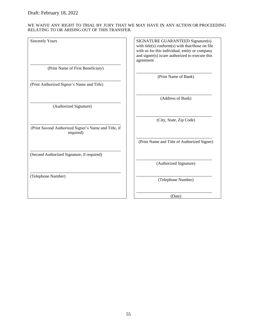#### WE WAIVE ANY RIGHT TO TRIAL BY JURY THAT WE MAY HAVE IN ANY ACTION OR PROCEEDING RELATING TO OR ARISING OUT OF THIS TRANSFER.

| SIGNATURE GUARANTEED Signature(s)<br>with title(s) conform(s) with that/those on file<br>with us for this individual, entity or company<br>and signer(s) is/are authorized to execute this<br>agreement |
|---------------------------------------------------------------------------------------------------------------------------------------------------------------------------------------------------------|
|                                                                                                                                                                                                         |
| (Print Name of Bank)                                                                                                                                                                                    |
|                                                                                                                                                                                                         |
| (Address of Bank)                                                                                                                                                                                       |
|                                                                                                                                                                                                         |
| (City, State, Zip Code)                                                                                                                                                                                 |
|                                                                                                                                                                                                         |
| (Print Name and Title of Authorized Signer)                                                                                                                                                             |
|                                                                                                                                                                                                         |
| (Authorized Signature)                                                                                                                                                                                  |
|                                                                                                                                                                                                         |
|                                                                                                                                                                                                         |

(Date)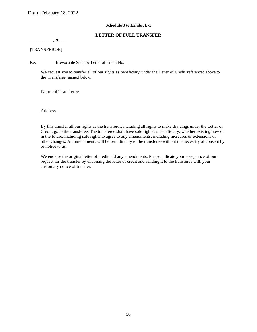#### **Schedule 3 to Exhibit E-1**

#### **LETTER OF FULL TRANSFER**

 $, 20$ 

#### [TRANSFEROR]

Re: Irrevocable Standby Letter of Credit No.

We request you to transfer all of our rights as beneficiary under the Letter of Credit referenced above to the Transferee, named below:

Name of Transferee

Address

By this transfer all our rights as the transferor, including all rights to make drawings under the Letter of Credit, go to the transferee. The transferee shall have sole rights as beneficiary, whether existing now or in the future, including sole rights to agree to any amendments, including increases or extensions or other changes. All amendments will be sent directly to the transferee without the necessity of consent by or notice to us.

We enclose the original letter of credit and any amendments. Please indicate your acceptance of our request for the transfer by endorsing the letter of credit and sending it to the transferee with your customary notice of transfer.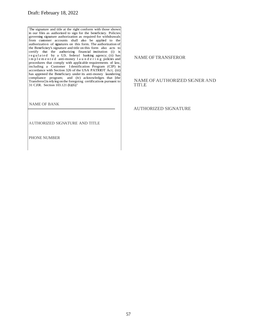The signature and title at the right conform with those shown in our files as authorized to sign for the beneficiary. Policies governing signature authorization as required for withdrawals from customer accounts shall also be applied to the authorization of signatures on this form. The authorization of the Beneficiary's signature and title on this form also acts to certify that the authorizing financial institution (i) is regulated by a U.S. federal banking agency; (ii) has i m p l e m e n t e d anti-money l a u n d e r i n g policies and procedures that comply with applicable requirements of law, including a Customer I dentification Program (CIP) in accordance with Section 326 of the USA PATRIOT Act; (iii) has approved the Beneficiary under its anti-money laundering compliance program; and (iv) acknowledges that [the Transferor] is relying on the foregoing certifications pursuant to 31 CFR. Section 103.121 (b)(6)."

NAME OF BANK

AUTHORIZED SIGNATURE AND TITLE

PHONE NUMBER

#### NAME OF TRANSFEROR

#### NAME OFAUTHORIZED SIGNER AND **TITLE**

AUTHORIZED SIGNATURE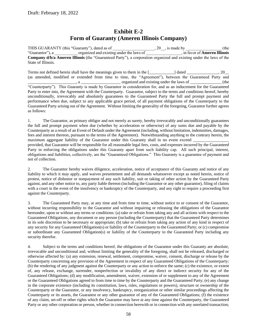# **Exhibit E-2 Form of Guaranty (Ameren Illinois Company)**

THIS GUARANTY (this "Guaranty"), dated as of \_\_\_\_\_\_\_\_\_\_\_\_\_\_\_\_\_\_\_\_\_\_, 20\_\_, is made by \_\_\_\_\_\_\_\_\_\_\_\_\_\_\_\_\_\_\_\_ (the "Guarantor"), a \_\_\_\_\_\_\_\_\_\_\_ organized and existing under the laws of \_\_\_\_\_\_\_\_\_\_\_\_\_\_\_\_\_, in favor of **Ameren Illinois Company d/b/a Ameren Illinois** (the "Guaranteed Party"), a corporation organized and existing under the laws of the State of Illinois.

Terms not defined herein shall have the meanings given to them in the  $\lceil \cdot \cdot \cdot \cdot \rceil \rceil$  dated  $\lceil \cdot \cdot \cdot \rceil \rceil$ (as amended, modified or extended from time to time, the "Agreement"), between the Guaranteed Party and \_, a \_\_\_\_\_\_\_\_\_\_\_\_\_\_\_\_\_\_\_\_\_\_\_\_\_\_ organized and existing under the laws of \_\_\_\_\_\_\_\_\_\_\_\_\_\_\_\_\_\_\_ (the "Counterparty"). This Guaranty is made by Guarantor in consideration for, and as an inducement for the Guaranteed Party to enter into, the Agreement with the Counterparty. Guarantor, subject to the terms and conditions hereof, hereby unconditionally, irrevocably and absolutely guarantees to the Guaranteed Party the full and prompt payment and performance when due, subject to any applicable grace period, of all payment obligations of the Counterparty to the Guaranteed Party arising out of the Agreement. Without limiting the generality of the foregoing, Guarantor further agrees as follows:

1. The Guarantor, as primary obligor and not merely as surety, hereby irrevocably and unconditionally guarantees the full and prompt payment when due (whether by acceleration or otherwise) of any sums due and payable by the Counterparty as a result of an Event of Default under the Agreement (including, without limitation, indemnities, damages, fees and interest thereon, pursuant to the terms of the Agreement). Notwithstanding anything to the contrary herein, the maximum aggregate liability of the Guarantor under this Guaranty shall in no event exceed

provided, that Guarantor will be responsible for all reasonable legal fees, costs, and expenses incurred by the Guaranteed Party in enforcing the obligations under this Guaranty apart from such liability cap. All such principal, interest, obligations and liabilities, collectively, are the "Guaranteed Obligations." This Guaranty is a guarantee of payment and not of collection.

2. The Guarantor hereby waives diligence, acceleration, notice of acceptance of this Guaranty and notice of any liability to which it may apply, and waives presentment and all demands whatsoever except as noted herein, notice of protest, notice of dishonor or nonpayment of any such liability, suit or taking of other action by the Guaranteed Party against, and any other notice to, any party liable thereon (including the Guarantor or any other guarantor), filing of claims with a court in the event of the insolvency or bankruptcy of the Counterparty, and any right to require a proceeding first against the Counterparty.

3. The Guaranteed Party may, at any time and from time to time, without notice to or consent of the Guarantor, without incurring responsibility to the Guarantor and without impairing or releasing the obligations of the Guarantor hereunder, upon or without any terms or conditions: (a) take or refrain from taking any and all actions with respect to the Guaranteed Obligations, any document or any person (including the Counterparty) that the Guaranteed Party determines in its sole discretion to be necessary or appropriate; (b) take or refrain from taking any action of any kind in respect of any security for any Guaranteed Obligation(s) or liability of the Counterparty to the Guaranteed Party; or (c) compromise or subordinate any Guaranteed Obligation(s) or liability of the Counterparty to the Guaranteed Party including any security therefor.

4. Subject to the terms and conditions hereof, the obligations of the Guarantor under this Guaranty are absolute, irrevocable and unconditional and, without limiting the generality of the foregoing, shall not be released, discharged or otherwise affected by: (a) any extension, renewal, settlement, compromise, waiver, consent, discharge or release by the Counterparty concerning any provision of the Agreement in respect of any Guaranteed Obligations of the Counterparty; (b) the rendering of any judgment against the Counterparty or any action to enforce the same; (c) the existence, or extent of, any release, exchange, surrender, nonperfection or invalidity of any direct or indirect security for any of the Guaranteed Obligations; (d) any modification, amendment, waiver, extension of or supplement to any of the Agreement or the Guaranteed Obligations agreed to from time to time by the Counterparty and the Guaranteed Party; (e) any change in the corporate existence (including its constitution, laws, rules, regulations or powers), structure or ownership of the Counterparty or the Guarantor, or any insolvency, bankruptcy, reorganization or other similar proceedings affecting the Counterparty or its assets, the Guarantor or any other guarantor of any of the Guaranteed Obligations; (f) the existence of any claim, set-off or other rights which the Guarantor may have at any time against the Counterparty, the Guaranteed Party or any other corporation or person, whether in connection herewith or in connection with any unrelated transaction;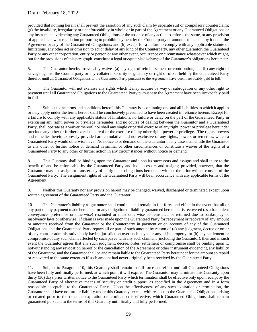provided that nothing herein shall prevent the assertion of any such claim by separate suit or compulsory counterclaim; (g) the invalidity, irregularity or unenforceability in whole or in part of the Agreement or any Guaranteed Obligations or any instrument evidencing any Guaranteed Obligations or the absence of any action to enforce the same, or any provision of applicable law or regulation purporting to prohibit payment by the Counterparty of amounts to be paid by it under the Agreement or any of the Guaranteed Obligations; and (h) except for a failure to comply with any applicable statute of limitations, any other act or omission to act or delay of any kind of the Counterparty, any other guarantor, the Guaranteed Party or any other corporation, entity or person or any other event, occurrence or circumstance whatsoever which might, but for the provisions of this paragraph, constitute a legal or equitable discharge of the Guarantor's obligations hereunder.

5. The Guarantor hereby irrevocably waives (a) any right of reimbursement or contribution, and (b) any right of salvage against the Counterparty or any collateral security or guaranty or right of offset held by the Guaranteed Party therefor until all Guaranteed Obligations to the Guaranteed Party pursuant to the Agreement have been irrevocably paid in full.

6. The Guarantor will not exercise any rights which it may acquire by way of subrogation or any other right to payment until all Guaranteed Obligations to the Guaranteed Party pursuant to the Agreement have been irrevocably paid in full.

7. Subject to the terms and conditions hereof, this Guaranty is a continuing one and all liabilities to which it applies or may apply under the terms hereof shall be conclusively presumed to have been created in reliance hereon. Except for a failure to comply with any applicable statute of limitations, no failure or delay on the part of the Guaranteed Party in exercising any right, power or privilege hereunder, and no course of dealing between the Guarantor and a Guaranteed Party, shall operate as a waiver thereof; nor shall any single or partial exercise of any right, power or privilege hereunder preclude any other or further exercise thereof or the exercise of any other right, power or privilege. The rights, powers and remedies herein expressly provided are cumulative and not exclusive of any rights, powers or remedies, which a Guaranteed Party would otherwise have. No notice to or demand on the Guarantor in any case shall entitle the Guarantor to any other or further notice or demand in similar or other circumstances or constitute a waiver of the rights of a Guaranteed Party to any other or further action in any circumstances without notice or demand.

8. This Guaranty shall be binding upon the Guarantor and upon its successors and assigns and shall inure to the benefit of and be enforceable by the Guaranteed Party and its successors and assigns; provided, however, that the Guarantor may not assign or transfer any of its rights or obligations hereunder without the prior written consent of the Guaranteed Party. The assignment rights of the Guaranteed Party will be in accordance with any applicable terms of the Agreement.

9. Neither this Guaranty nor any provision hereof may be changed, waived, discharged or terminated except upon written agreement of the Guaranteed Party and the Guarantor.

10. The Guarantor's liability as guarantor shall continue and remain in full force and effect in the event that all or any part of any payment made hereunder or any obligation or liability guaranteed hereunder is recovered (as a fraudulent conveyance, preference or otherwise) rescinded or must otherwise be reinstated or returned due to bankruptcy or insolvency laws or otherwise. If claim is ever made upon the Guaranteed Party for repayment or recovery of any amount or amounts received from the Guarantor or the Counterparty in payment or on account of any of the Guaranteed Obligations and the Guaranteed Party repays all or part of such amount by reason of (a) any judgment, decree or order of any court or administrative body having jurisdiction over such payee or any of its property, or (b) any settlement or compromise of any such claim effected by such payee with any such claimant (including the Guarantor), then and in such event the Guarantor agrees that any such judgment, decree, order, settlement or compromise shall be binding upon it, notwithstanding any revocation hereof or the cancellation of the Agreement or other instrument evidencing any liability of the Guarantor, and the Guarantor shall be and remain liable to the Guaranteed Party hereunder for the amount so repaid or recovered to the same extent as if such amount had never originally been received by the Guaranteed Party.

11. Subject to Paragraph 10, this Guaranty shall remain in full force and effect until all Guaranteed Obligations have been fully and finally performed, at which point it will expire. The Guarantor may terminate this Guaranty upon thirty (30) days prior written notice to the Guaranteed Party which termination shall be effective only upon receipt by the Guaranteed Party of alternative means of security or credit support, as specified in the Agreement and in a form reasonably acceptable to the Guaranteed Party. Upon the effectiveness of any such expiration or termination, the Guarantor shall have no further liability under this Guaranty, except with respect to the Guaranteed Obligations arising or created prior to the time the expiration or termination is effective, which Guaranteed Obligations shall remain guaranteed pursuant to the terms of this Guaranty until finally and fully performed.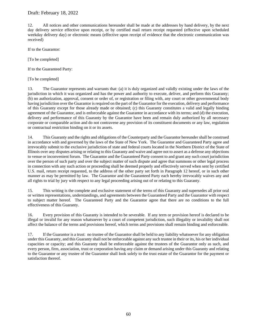12. All notices and other communications hereunder shall be made at the addresses by hand delivery, by the next day delivery service effective upon receipt, or by certified mail return receipt requested (effective upon scheduled weekday delivery day) or electronic means (effective upon receipt of evidence that the electronic communication was received)

If to the Guarantor:

[To be completed]

If to the Guaranteed Party:

[To be completed]

13. The Guarantor represents and warrants that: (a) it is duly organized and validly existing under the laws of the jurisdiction in which it was organized and has the power and authority to execute, deliver, and perform this Guaranty; (b) no authorization, approval, consent or order of, or registration or filing with, any court or other governmental body having jurisdiction over the Guarantor is required on the part of the Guarantor for the execution, delivery and performance of this Guaranty except for those already made or obtained; (c) this Guaranty constitutes a valid and legally binding agreement of the Guarantor, and is enforceable against the Guarantor in accordance with its terms; and (d) the execution, delivery and performance of this Guaranty by the Guarantor have been and remain duly authorized by all necessary corporate or comparable action and do not contravene any provision of its constituent documents or any law, regulation or contractual restriction binding on it or its assets.

14. This Guaranty and the rights and obligations of the Counterparty and the Guarantor hereunder shall be construed in accordance with and governed by the laws of the State of New York. The Guarantor and Guaranteed Party agree and irrevocably submit to the exclusive jurisdiction of state and federal courts located in the Northern District of the State of Illinois over any disputes arising or relating to this Guaranty and waive and agree not to assert as a defense any objections to venue or inconvenient forum. The Guarantor and the Guaranteed Party consent to and grant any such court jurisdiction over the person of such party and over the subject matter of such dispute and agree that summons or other legal process in connection with any such action or proceeding shall be deemed properly and effectively served when sent by certified U.S. mail, return receipt requested, to the address of the other party set forth in Paragraph 12 hereof, or in such other manner as may be permitted by law. The Guarantor and the Guaranteed Party each hereby irrevocably waives any and all rights to trial by jury with respect to any legal proceeding arising out of or relating to this Guaranty.

15. This writing is the complete and exclusive statement of the terms of this Guaranty and supersedes all prior oral or written representations, understandings, and agreements between the Guaranteed Party and the Guarantor with respect to subject matter hereof. The Guaranteed Party and the Guarantor agree that there are no conditions to the full effectiveness of this Guaranty.

16. Every provision of this Guaranty is intended to be severable. If any term or provision hereof is declared to be illegal or invalid for any reason whatsoever by a court of competent jurisdiction, such illegality or invalidity shall not affect the balance of the terms and provisions hereof, which terms and provisions shall remain binding and enforceable.

17. If the Guarantor is a trust: no trustee of the Guarantor shall be held to any liability whatsoever for any obligation under this Guaranty, and this Guaranty shall not be enforceable against any such trustee in their or its, his or her individual capacities or capacity; and this Guaranty shall be enforceable against the trustees of the Guarantor only as such, and every person, firm, association, trust or corporation having any claim or demand arising under this Guaranty and relating to the Guarantor or any trustee of the Guarantor shall look solely to the trust estate of the Guarantor for the payment or satisfaction thereof.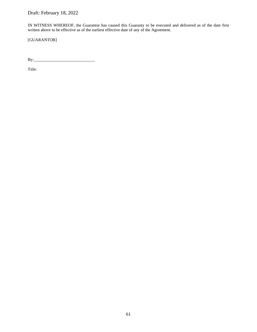IN WITNESS WHEREOF, the Guarantor has caused this Guaranty to be executed and delivered as of the date first written above to be effective as of the earliest effective date of any of the Agreement.

[GUARANTOR]

By:\_\_\_\_\_\_\_\_\_\_\_\_\_\_\_\_\_\_\_\_\_\_\_\_\_\_\_\_\_

Title: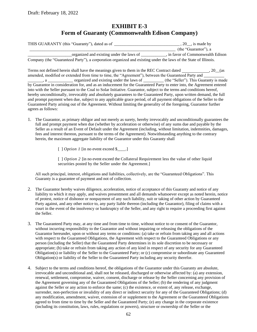## **EXHIBIT E-3 Form of Guaranty (Commonwealth Edison Company)**

| THIS GUARANTY (this "Guaranty"), dated as of |                       |  |  |  |  |                                          |  | $, 20$ , is made by |  |  |  |  |                                                                                                                                                                                                                                                                                                                                    |                                   |
|----------------------------------------------|-----------------------|--|--|--|--|------------------------------------------|--|---------------------|--|--|--|--|------------------------------------------------------------------------------------------------------------------------------------------------------------------------------------------------------------------------------------------------------------------------------------------------------------------------------------|-----------------------------------|
|                                              |                       |  |  |  |  |                                          |  |                     |  |  |  |  | (the "Guarantor"), a                                                                                                                                                                                                                                                                                                               |                                   |
|                                              |                       |  |  |  |  | organized and existing under the laws of |  |                     |  |  |  |  |                                                                                                                                                                                                                                                                                                                                    | , in favor of Commonwealth Edison |
|                                              | $\sqrt{1}$ $\sqrt{2}$ |  |  |  |  |                                          |  |                     |  |  |  |  | $\mathbf{1}$ $\mathbf{1}$ $\mathbf{1}$ $\mathbf{0}$ $\mathbf{1}$ $\mathbf{0}$ $\mathbf{0}$ $\mathbf{1}$ $\mathbf{1}$ $\mathbf{1}$ $\mathbf{1}$ $\mathbf{1}$ $\mathbf{1}$ $\mathbf{1}$ $\mathbf{1}$ $\mathbf{1}$ $\mathbf{1}$ $\mathbf{1}$ $\mathbf{1}$ $\mathbf{1}$ $\mathbf{1}$ $\mathbf{1}$ $\mathbf{1}$ $\mathbf{1}$ $\mathbf{$ |                                   |

Company (the "Guaranteed Party"), a corporation organized and existing under the laws of the State of Illinois.

Terms not defined herein shall have the meanings given to them in the REC Contract dated , 20 (as amended, modified or extended from time to time, the "Agreement"), between the Guaranteed Party and , a settled and existing under the laws of (the "Seller"). This Guaranty is made by Guarantor in consideration for, and as an inducement for the Guaranteed Party to enter into, the Agreement entered into with the Seller pursuant to the Coal to Solar Initiative. Guarantor, subject to the terms and conditions hereof, hereby unconditionally, irrevocably and absolutely guarantees to the Guaranteed Party, upon written demand, the full and prompt payment when due, subject to any applicable grace period, of all payment obligations of the Seller to the Guaranteed Party arising out of the Agreement. Without limiting the generality of the foregoing, Guarantor further agrees as follows:

1. The Guarantor, as primary obligor and not merely as surety, hereby irrevocably and unconditionally guarantees the full and prompt payment when due (whether by acceleration or otherwise) of any sums due and payable by the Seller as a result of an Event of Default under the Agreement (including, without limitation, indemnities, damages, fees and interest thereon, pursuant to the terms of the Agreement). Notwithstanding anything to the contrary herein, the maximum aggregate liability of the Guarantor under this Guaranty shall

[ ] *Option 1* [in no event exceed \$\_\_\_\_.]

[ ] *Option 2* [in no event exceed the Collateral Requirement less the value of other liquid securities posted by the Seller under the Agreement.]

All such principal, interest, obligations and liabilities, collectively, are the "Guaranteed Obligations". This Guaranty is a guarantee of payment and not of collection.

- 2. The Guarantor hereby waives diligence, acceleration, notice of acceptance of this Guaranty and notice of any liability to which it may apply, and waives presentment and all demands whatsoever except as noted herein, notice of protest, notice of dishonor or nonpayment of any such liability, suit or taking of other action by Guaranteed Party against, and any other notice to, any party liable thereon (including the Guarantor), filing of claims with a court in the event of the insolvency or bankruptcy of the Seller, and any right to require a proceeding first against the Seller.
- 3. The Guaranteed Party may, at any time and from time to time, without notice to or consent of the Guarantor, without incurring responsibility to the Guarantor and without impairing or releasing the obligations of the Guarantor hereunder, upon or without any terms or conditions: (a) take or refrain from taking any and all actions with respect to the Guaranteed Obligations, the Agreement with respect to the Guaranteed Obligations or any person (including the Seller) that the Guaranteed Party determines in its sole discretion to be necessary or appropriate; (b) take or refrain from taking any action of any kind in respect of any security for any Guaranteed Obligation(s) or liability of the Seller to the Guaranteed Party; or (c) compromise or subordinate any Guaranteed Obligation(s) or liability of the Seller to the Guaranteed Party including any security therefor.
- 4. Subject to the terms and conditions hereof, the obligations of the Guarantor under this Guaranty are absolute, irrevocable and unconditional and, shall not be released, discharged or otherwise affected by: (a) any extension, renewal, settlement, compromise, waiver, consent, discharge or release by the Seller concerning any provision of the Agreement governing any of the Guaranteed Obligations of the Seller; (b) the rendering of any judgment against the Seller or any action to enforce the same; (c) the existence, or extent of, any release, exchange, surrender, non-perfection or invalidity of any direct or indirect security for any of the Guaranteed Obligations; (d) any modification, amendment, waiver, extension of or supplement to the Agreement or the Guaranteed Obligations agreed to from time to time by the Seller and the Guaranteed Party; (e) any change in the corporate existence (including its constitution, laws, rules, regulations or powers), structure or ownership of the Seller or the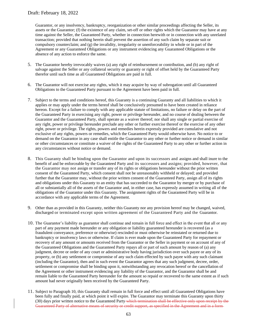Guarantor, or any insolvency, bankruptcy, reorganization or other similar proceedings affecting the Seller, its assets or the Guarantor; (f) the existence of any claim, set-off or other rights which the Guarantor may have at any time against the Seller, the Guaranteed Party, whether in connection herewith or in connection with any unrelated transaction; provided that nothing herein shall prevent the assertion of any such claim by separate suit or compulsory counterclaim; and (g) the invalidity, irregularity or unenforceability in whole or in part of the Agreement or any Guaranteed Obligations or any instrument evidencing any Guaranteed Obligations or the absence of any action to enforce the same.

- 5. The Guarantor hereby irrevocably waives (a) any right of reimbursement or contribution, and (b) any right of salvage against the Seller or any collateral security or guaranty or right of offset held by the Guaranteed Party therefor until such time as all Guaranteed Obligations are paid in full.
- 6. The Guarantor will not exercise any rights, which it may acquire by way of subrogation until all Guaranteed Obligations to the Guaranteed Party pursuant to the Agreement have been paid in full.
- 7. Subject to the terms and conditions hereof, this Guaranty is a continuing Guaranty and all liabilities to which it applies or may apply under the terms hereof shall be conclusively presumed to have been created in reliance hereon. Except for a failure to comply with any applicable statute of limitations, no failure or delay on the part of the Guaranteed Party in exercising any right, power or privilege hereunder, and no course of dealing between the Guarantor and the Guaranteed Party, shall operate as a waiver thereof; nor shall any single or partial exercise of any right, power or privilege hereunder preclude any other or further exercise thereof or the exercise of any other right, power or privilege. The rights, powers and remedies herein expressly provided are cumulative and not exclusive of any rights, powers or remedies, which the Guaranteed Party would otherwise have. No notice to or demand on the Guarantor in any case shall entitle the Guarantor to any other or further notice or demand in similar or other circumstances or constitute a waiver of the rights of the Guaranteed Party to any other or further action in any circumstances without notice or demand.
- 8. This Guaranty shall be binding upon the Guarantor and upon its successors and assigns and shall inure to the benefit of and be enforceable by the Guaranteed Party and its successors and assigns; provided, however, that the Guarantor may not assign or transfer any of its rights or obligations hereunder without the prior written consent of the Guaranteed Party, which consent shall not be unreasonably withheld or delayed; and provided further that the Guarantor may, without the prior written consent of the Guaranteed Party, assign all of its rights and obligations under this Guaranty to an entity that has succeeded to the Guarantor by merger or by purchase of all or substantially all of the assets of the Guarantor and, in either case, has expressly assumed in writing all of the obligations of the Guarantor under this Guaranty. The assignment rights of the Guaranteed Party will be in accordance with any applicable terms of the Agreement.
- 9. Other than as provided in this Guaranty, neither this Guaranty nor any provision hereof may be changed, waived, discharged or terminated except upon written agreement of the Guaranteed Party and the Guarantor.
- 10. The Guarantor's liability as guarantor shall continue and remain in full force and effect in the event that all or any part of any payment made hereunder or any obligation or liability guaranteed hereunder is recovered (as a fraudulent conveyance, preference or otherwise) rescinded or must otherwise be reinstated or returned due to bankruptcy or insolvency laws or otherwise. If claim is ever made upon the Guaranteed Party for repayment or recovery of any amount or amounts received from the Guarantor or the Seller in payment or on account of any of the Guaranteed Obligations and the Guaranteed Party repays all or part of such amount by reason of (a) any judgment, decree or order of any court or administrative body having jurisdiction over such payee or any of its property, or (b) any settlement or compromise of any such claim effected by such payee with any such claimant (including the Guarantor), then and in such event the Guarantor agrees that any such judgment, decree, order, settlement or compromise shall be binding upon it, notwithstanding any revocation hereof or the cancellation of the Agreement or other instrument evidencing any liability of the Guarantor, and the Guarantor shall be and remain liable to the Guaranteed Party hereunder for the amount so repaid or recovered to the same extent as if such amount had never originally been received by the Guaranteed Party.
- 11. Subject to Paragraph 10, this Guaranty shall remain in full force and effect until all Guaranteed Obligations have been fully and finally paid, at which point it will expire. The Guarantor may terminate this Guaranty upon thirty (30) days prior written notice to the Guaranteed Party which termination shall be effective only upon receipt by the Guaranteed Party of alternative means of security or credit support, as specified in the Agreement and in a form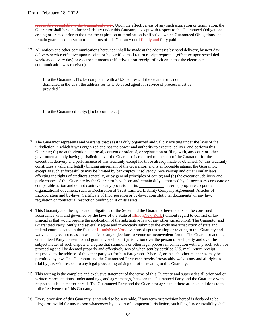reasonably acceptable to the Guaranteed Party. Upon the effectiveness of any such expiration or termination, the Guarantor shall have no further liability under this Guaranty, except with respect to the Guaranteed Obligations arising or created prior to the time the expiration or termination is effective, which Guaranteed Obligations shall remain guaranteed pursuant to the terms of this Guaranty until finally and fully paid.

12. All notices and other communications hereunder shall be made at the addresses by hand delivery, by next day delivery service effective upon receipt, or by certified mail return receipt requested (effective upon scheduled weekday delivery day) or electronic means (effective upon receipt of evidence that the electronic communication was received)

If to the Guarantor: [To be completed with a U.S. address. If the Guarantor is not domiciled in the U.S., the address for its U.S.-based agent for service of process must be provided.]

If to the Guaranteed Party: [To be completed]

- 13. The Guarantor represents and warrants that: (a) it is duly organized and validly existing under the laws of the jurisdiction in which it was organized and has the power and authority to execute, deliver, and perform this Guaranty; (b) no authorization, approval, consent or order of, or registration or filing with, any court or other governmental body having jurisdiction over the Guarantor is required on the part of the Guarantor for the execution, delivery and performance of this Guaranty except for those already made or obtained; (c) this Guaranty constitutes a valid and legally binding agreement of the Guarantor, and is enforceable against the Guarantor, except as such enforceability may be limited by bankruptcy, insolvency, receivership and other similar laws affecting the rights of creditors generally, or by general principles of equity; and (d) the execution, delivery and performance of this Guaranty by the Guarantor have been and remain duly authorized by all necessary corporate or comparable action and do not contravene any provision of its [insert appropriate corporate organizational document, such as Declaration of Trust, Limited Liability Company Agreement, Articles of Incorporation and by-laws, Certificate of Incorporation or by-laws, constitutional documents] or any law, regulation or contractual restriction binding on it or its assets.
- 14. This Guaranty and the rights and obligations of the Seller and the Guarantor hereunder shall be construed in accordance with and governed by the laws of the State of HinoisNew York (without regard to conflict of law principles that would require the application of the substantive law of any other jurisdiction). The Guarantor and Guaranteed Party jointly and severally agree and irrevocably submit to the exclusive jurisdiction of state and federal courts located in the State of HinoisNew York over any disputes arising or relating to this Guaranty and waive and agree not to assert as a defense any objections to venue or inconvenient forum. The Guarantor and the Guaranteed Party consent to and grant any such court jurisdiction over the person of such party and over the subject matter of such dispute and agree that summons or other legal process in connection with any such action or proceeding shall be deemed properly and effectively served when sent by certified U.S. mail, return receipt requested, to the address of the other party set forth in Paragraph 12 hereof, or in such other manner as may be permitted by law. The Guarantor and the Guaranteed Party each hereby irrevocably waives any and all rights to trial by jury with respect to any legal proceeding arising out of or relating to this Guaranty.
- 15. This writing is the complete and exclusive statement of the terms of this Guaranty and supersedes all prior oral or written representations, understandings, and agreement(s) between the Guaranteed Party and the Guarantor with respect to subject matter hereof. The Guaranteed Party and the Guarantor agree that there are no conditions to the full effectiveness of this Guaranty.
- 16. Every provision of this Guaranty is intended to be severable. If any term or provision hereof is declared to be illegal or invalid for any reason whatsoever by a court of competent jurisdiction, such illegality or invalidity shall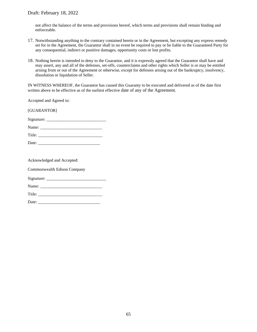not affect the balance of the terms and provisions hereof, which terms and provisions shall remain binding and enforceable.

- 17. Notwithstanding anything to the contrary contained herein or in the Agreement, but excepting any express remedy set for in the Agreement, the Guarantor shall in no event be required to pay or be liable to the Guaranteed Party for any consequential, indirect or punitive damages, opportunity costs or lost profits.
- 18. Nothing herein is intended to deny to the Guarantor, and it is expressly agreed that the Guarantor shall have and may assert, any and all of the defenses, set-offs, counterclaims and other rights which Seller is or may be entitled arising from or out of the Agreement or otherwise, except for defenses arising out of the bankruptcy, insolvency, dissolution or liquidation of Seller.

IN WITNESS WHEREOF, the Guarantor has caused this Guaranty to be executed and delivered as of the date first written above to be effective as of the earliest effective date of any of the Agreement.

Accepted and Agreed to:

[GUARANTOR]

Signature: \_\_\_\_\_\_\_\_\_\_\_\_\_\_\_\_\_\_\_\_\_\_\_\_\_\_\_\_

| Name:  |  |  |
|--------|--|--|
| Title: |  |  |

| Date: |  |
|-------|--|
|       |  |

Acknowledged and Accepted:

Commonwealth Edison Company

Signature: \_\_\_\_\_\_\_\_\_\_\_\_\_\_\_\_\_\_\_\_\_\_\_\_\_\_\_\_

Name: \_\_\_\_\_\_\_\_\_\_\_\_\_\_\_\_\_\_\_\_\_\_\_\_\_\_\_\_\_

Title:

Date: \_\_\_\_\_\_\_\_\_\_\_\_\_\_\_\_\_\_\_\_\_\_\_\_\_\_\_\_\_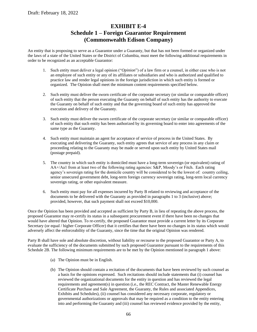# **EXHIBIT E-4 Schedule 1 – Foreign Guarantor Requirement (Commonwealth Edison Company)**

An entity that is proposing to serve as a Guarantor under a Guaranty, but that has not been formed or organized under the laws of a state of the United States or the District of Columbia, must meet the following additional requirements in order to be recognized as an acceptable Guarantor:

- 1. Such entity must deliver a legal opinion ("*Opinion*") of a law firm or a counsel, in either case who is not an employee of such entity or any of its affiliates or subsidiaries and who is authorized and qualified to practice law and render legal opinions in the foreign jurisdiction in which such entity is formed or organized. The Opinion shall meet the minimum content requirements specified below.
- 2. Such entity must deliver the sworn certificate of the corporate secretary (or similar or comparable officer) of such entity that the person executing the Guaranty on behalf of such entity has the authority to execute the Guaranty on behalf of such entity and that the governing board of such entity has approved the execution and delivery of the Guaranty.
- 3. Such entity must deliver the sworn certificate of the corporate secretary (or similar or comparable officer) of such entity that such entity has been authorized by its governing board to enter into agreements of the same type as the Guaranty.
- 4. Such entity must maintain an agent for acceptance of service of process in the United States. By executing and delivering the Guaranty, such entity agrees that service of any process in any claim or proceeding relating to the Guaranty may be made or served upon such entity by United States mail (postage prepaid).
- 5. The country in which such entity is domiciled must have a long-term sovereign (or equivalent) rating of AA+/Aa1 from at least two of the following rating agencies: S&P, Moody's or Fitch. Each rating agency's sovereign rating for the domicile country will be considered to be the lowest of: country ceiling, senior unsecured government debt, long-term foreign currency sovereign rating, long-term local currency sovereign rating, or other equivalent measure.
- 6. Such entity must pay for all expenses incurred by Party B related to reviewing and acceptance of the documents to be delivered with the Guaranty as provided in paragraphs 1 to 3 (inclusive) above; provided, however, that such payment shall not exceed \$10,000.

Once the Opinion has been provided and accepted as sufficient by Party B, in lieu of repeating the above process, the proposed Guarantor may re-certify its status in a subsequent procurement event if there have been no changes that would have altered that Opinion. To re-certify, the proposed Guarantor must provide a current letter by its Corporate Secretary (or equal / higher Corporate Officer) that it certifies that there have been no changes in its status which would adversely affect the enforceability of the Guaranty, since the time that the original Opinion was rendered.

Party B shall have sole and absolute discretion, without liability or recourse to the proposed Guarantor or Party A, to evaluate the sufficiency of the documents submitted by such proposed Guarantor pursuant to the requirements of this Schedule 2B. The following minimum requirements are to be met by the Opinion mentioned in paragraph 1 above:

- (a) The Opinion must be in English.
- (b) The Opinion should contain a recitation of the documents that have been reviewed by such counsel as a basis for the opinions expressed. Such recitations should include statements that (i) counsel has reviewed the organizational documents for the entity in question and has reviewed the legal requirements and agreement(s) in question (i.e., the REC Contract, the Master Renewable Energy Certificate Purchase and Sale Agreement, the Guaranty, the Rules and associated Appendices, Exhibits and Schedules), (ii) counsel has considered any necessary corporate, regulatory or governmental authorizations or approvals that may be required as a condition to the entity entering into and performing the Guaranty and (iii) counsel has reviewed evidence provided by the entity,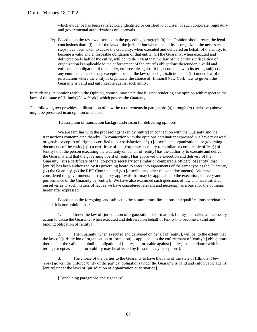which evidence has been satisfactorily identified or certified to counsel, of such corporate, regulatory and governmental authorizations or approvals.

(c) Based upon the review described in the preceding paragraph (b), the Opinion should reach the legal conclusions that: (i) under the law of the jurisdiction where the entity is organized, the necessary steps have been taken to cause the Guaranty, when executed and delivered on behalf of the entity, to become a valid and enforceable obligation of that entity, (ii) the Guaranty, when executed and delivered on behalf of the entity, will be, to the extent that the law of the entity's jurisdiction of organization is applicable to the enforcement of the entity's obligations thereunder, a valid and enforceable obligation of that entity, enforceable against it in accordance with its terms, subject to any enumerated customary exceptions under the law of such jurisdiction, and (iii) under law of the jurisdiction where the entity is organized, the choice of [Illinois][New York] law to govern the Guaranty is valid and enforceable against such entity.

In rendering its opinions within the Opinion, counsel may state that it is not rendering any opinion with respect to the laws of the state of [Illinois][New York], which govern the Guaranty.

The following text provides an illustration of how the requirements in paragraphs (a) through (c) (inclusive) above might be presented in an opinion of counsel:

[Description of transaction background/reason for delivering opinion]

We are familiar with the proceedings taken by [entity] in connection with the Guaranty and the transactions contemplated thereby. In connection with the opinions hereinafter expressed, we have reviewed originals, or copies of originals certified to our satisfaction, of (i) [describe the organizational or governing documents of the entity], (ii) a certificate of the [corporate secretary (or similar or comparable officer)] of [entity] that the person executing the Guaranty on behalf of [entity] has the authority to execute and deliver the Guaranty and that the governing board of [entity] has approved the execution and delivery of the Guaranty, (iii) a certificate of the [corporate secretary (or similar or comparable officer)] of [entity] that [entity] has been authorized by its governing board to enter into agreements of the same type as the Guaranty, (iv) the Guaranty, (v) the REC Contract, and (vi) [describe any other relevant documents]. We have considered the governmental or regulatory approvals that may be applicable to the execution, delivery and performance of the Guaranty by [entity]. We have also examined such questions of law and have satisfied ourselves as to such matters of fact as we have considered relevant and necessary as a basis for the opinions hereinafter expressed.

Based upon the foregoing, and subject to the assumptions, limitations and qualifications hereinafter stated, it is our opinion that:

1. Under the law of [jurisdiction of organization or formation], [entity] has taken all necessary action to cause the Guaranty, when executed and delivered on behalf of [entity], to become a valid and binding obligation of [entity]

2. The Guaranty, when executed and delivered on behalf of [entity], will be, to the extent that the law of [jurisdiction of organization or formation] is applicable to the enforcement of [entity's] obligations thereunder, the valid and binding obligation of [entity], enforceable against [entity] in accordance with its terms, except as such enforceability may be affected by [describe any exceptions].

3. The choice of the parties to the Guaranty to have the laws of the state of [Illinois][New York] govern the enforceability of the parties' obligations under the Guaranty is valid and enforceable against [entity] under the laws of [jurisdiction of organization or formation].

[Concluding paragraphs and signature]